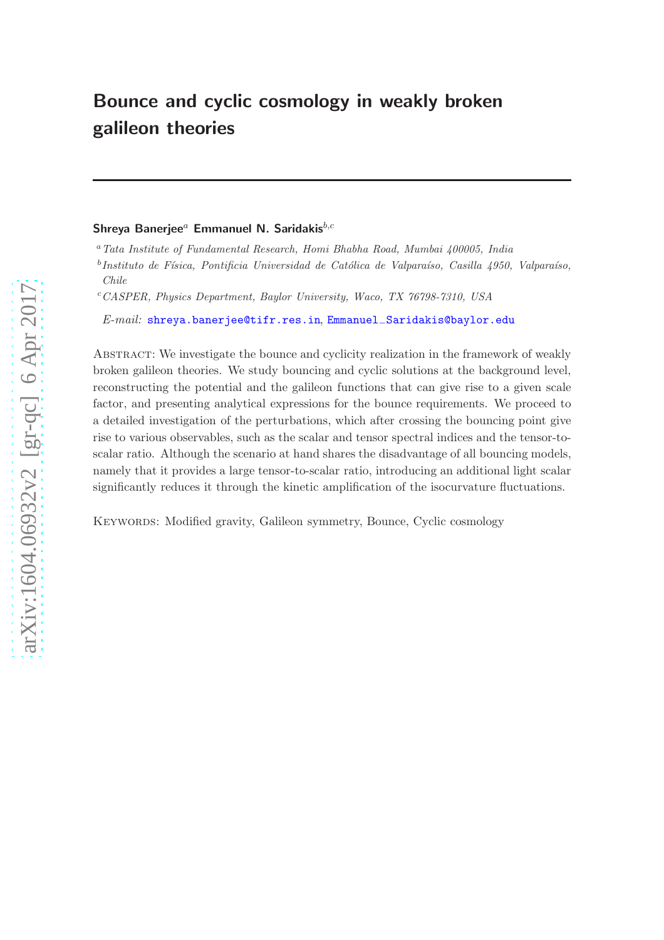# Bounce and cyclic cosmology in weakly broken galileon theories

## Shreya Banerjee<sup>a</sup> Emmanuel N. Saridakis $^{b,c}$

ABSTRACT: We investigate the bounce and cyclicity realization in the framework of weakly broken galileon theories. We study bouncing and cyclic solutions at the background level, reconstructing the potential and the galileon functions that can give rise to a given scale factor, and presenting analytical expressions for the bounce requirements. We proceed to a detailed investigation of the perturbations, which after crossing the bouncing point give rise to various observables, such as the scalar and tensor spectral indices and the tensor-toscalar ratio. Although the scenario at hand shares the disadvantage of all bouncing models, namely that it provides a large tensor-to-scalar ratio, introducing an additional light scalar significantly reduces it through the kinetic amplification of the isocurvature fluctuations.

Keywords: Modified gravity, Galileon symmetry, Bounce, Cyclic cosmology

<sup>a</sup>Tata Institute of Fundamental Research, Homi Bhabha Road, Mumbai 400005, India

<sup>&</sup>lt;sup>b</sup>Instituto de Física, Pontificia Universidad de Católica de Valparaíso, Casilla 4950, Valparaíso, Chile

<sup>c</sup>CASPER, Physics Department, Baylor University, Waco, TX 76798-7310, USA

E-mail: [shreya.banerjee@tifr.res.in](mailto:shreya.banerjee@tifr.res.in), Emmanuel−[Saridakis@baylor.edu](mailto:Emmanuel$_-$Saridakis@baylor.edu)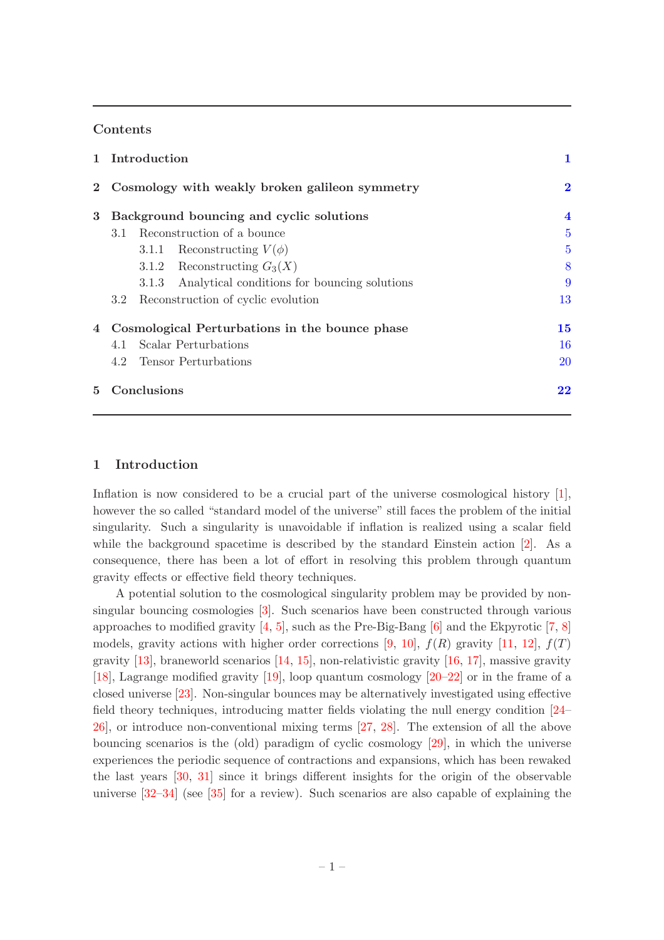# Contents

|                | 1 Introduction                                      | 1              |
|----------------|-----------------------------------------------------|----------------|
| $\bf{2}$       | Cosmology with weakly broken galileon symmetry      | $\bf{2}$       |
| 3              | Background bouncing and cyclic solutions            | $\overline{4}$ |
|                | Reconstruction of a bounce<br>3.1                   | $\overline{5}$ |
|                | 3.1.1 Reconstructing $V(\phi)$                      | 5              |
|                | 3.1.2 Reconstructing $G_3(X)$                       | 8              |
|                | 3.1.3 Analytical conditions for bouncing solutions  | 9              |
|                | Reconstruction of cyclic evolution<br>$3.2^{\circ}$ | 13             |
| $\overline{4}$ | Cosmological Perturbations in the bounce phase      | 15             |
|                | Scalar Perturbations<br>4.1                         | 16             |
|                | <b>Tensor Perturbations</b><br>4.2                  | <b>20</b>      |
| $\mathbf{5}$   | Conclusions                                         | 22             |

## <span id="page-1-0"></span>1 Introduction

Inflation is now considered to be a crucial part of the universe cosmological history [\[1\]](#page-23-0), however the so called "standard model of the universe" still faces the problem of the initial singularity. Such a singularity is unavoidable if inflation is realized using a scalar field while the background spacetime is described by the standard Einstein action [\[2\]](#page-23-1). As a consequence, there has been a lot of effort in resolving this problem through quantum gravity effects or effective field theory techniques.

A potential solution to the cosmological singularity problem may be provided by nonsingular bouncing cosmologies [\[3](#page-23-2)]. Such scenarios have been constructed through various approaches to modified gravity  $[4, 5]$  $[4, 5]$ , such as the Pre-Big-Bang  $[6]$  and the Ekpyrotic  $[7, 8]$  $[7, 8]$ models, gravity actions with higher order corrections [\[9](#page-23-8), [10](#page-23-9)],  $f(R)$  gravity [\[11](#page-23-10), [12](#page-23-11)],  $f(T)$ gravity  $[13]$ , braneworld scenarios  $[14, 15]$  $[14, 15]$  $[14, 15]$ , non-relativistic gravity  $[16, 17]$  $[16, 17]$  $[16, 17]$ , massive gravity [\[18](#page-23-17)], Lagrange modified gravity [\[19\]](#page-23-18), loop quantum cosmology [\[20](#page-24-0)[–22](#page-24-1)] or in the frame of a closed universe [\[23\]](#page-24-2). Non-singular bounces may be alternatively investigated using effective field theory techniques, introducing matter fields violating the null energy condition [\[24](#page-24-3)– [26](#page-24-4)], or introduce non-conventional mixing terms [\[27](#page-24-5), [28](#page-24-6)]. The extension of all the above bouncing scenarios is the (old) paradigm of cyclic cosmology [\[29](#page-24-7)], in which the universe experiences the periodic sequence of contractions and expansions, which has been rewaked the last years [\[30](#page-24-8), [31](#page-24-9)] since it brings different insights for the origin of the observable universe [\[32](#page-24-10)[–34](#page-24-11)] (see [\[35\]](#page-24-12) for a review). Such scenarios are also capable of explaining the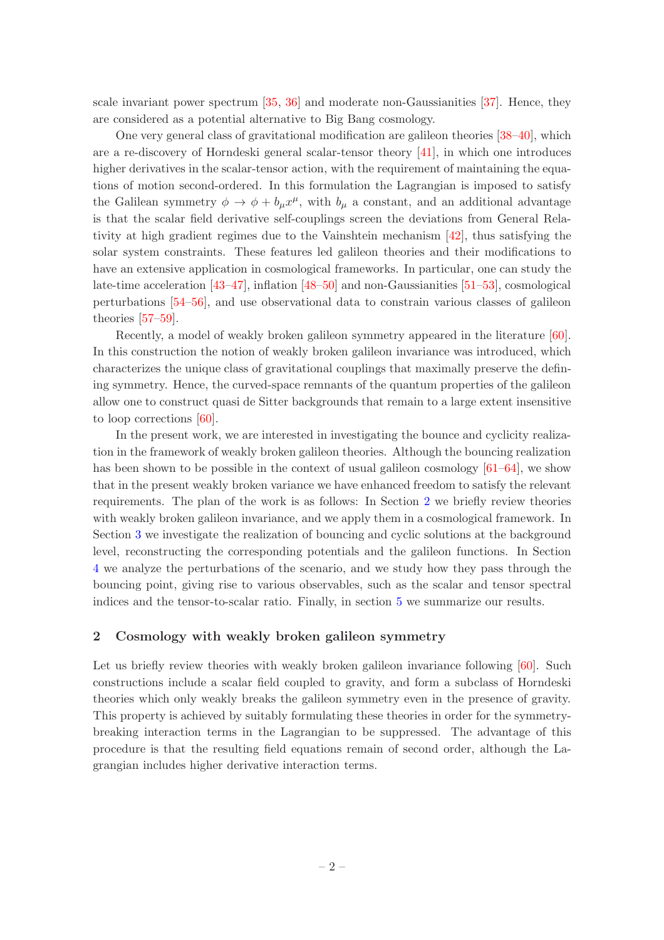scale invariant power spectrum [\[35](#page-24-12), [36\]](#page-24-13) and moderate non-Gaussianities [\[37](#page-24-14)]. Hence, they are considered as a potential alternative to Big Bang cosmology.

One very general class of gravitational modification are galileon theories [\[38](#page-24-15)[–40](#page-25-0)], which are a re-discovery of Horndeski general scalar-tensor theory [\[41](#page-25-1)], in which one introduces higher derivatives in the scalar-tensor action, with the requirement of maintaining the equations of motion second-ordered. In this formulation the Lagrangian is imposed to satisfy the Galilean symmetry  $\phi \to \phi + b_{\mu}x^{\mu}$ , with  $b_{\mu}$  a constant, and an additional advantage is that the scalar field derivative self-couplings screen the deviations from General Relativity at high gradient regimes due to the Vainshtein mechanism [\[42](#page-25-2)], thus satisfying the solar system constraints. These features led galileon theories and their modifications to have an extensive application in cosmological frameworks. In particular, one can study the late-time acceleration [\[43](#page-25-3)[–47](#page-25-4)], inflation [\[48](#page-25-5)[–50\]](#page-25-6) and non-Gaussianities [\[51](#page-25-7)[–53](#page-25-8)], cosmological perturbations [\[54](#page-25-9)[–56](#page-25-10)], and use observational data to constrain various classes of galileon theories [\[57](#page-25-11)[–59](#page-25-12)].

Recently, a model of weakly broken galileon symmetry appeared in the literature [\[60\]](#page-26-0). In this construction the notion of weakly broken galileon invariance was introduced, which characterizes the unique class of gravitational couplings that maximally preserve the defining symmetry. Hence, the curved-space remnants of the quantum properties of the galileon allow one to construct quasi de Sitter backgrounds that remain to a large extent insensitive to loop corrections [\[60\]](#page-26-0).

In the present work, we are interested in investigating the bounce and cyclicity realization in the framework of weakly broken galileon theories. Although the bouncing realization has been shown to be possible in the context of usual galileon cosmology  $[61–64]$  $[61–64]$  $[61–64]$ , we show that in the present weakly broken variance we have enhanced freedom to satisfy the relevant requirements. The plan of the work is as follows: In Section [2](#page-2-0) we briefly review theories with weakly broken galileon invariance, and we apply them in a cosmological framework. In Section [3](#page-4-0) we investigate the realization of bouncing and cyclic solutions at the background level, reconstructing the corresponding potentials and the galileon functions. In Section [4](#page-15-0) we analyze the perturbations of the scenario, and we study how they pass through the bouncing point, giving rise to various observables, such as the scalar and tensor spectral indices and the tensor-to-scalar ratio. Finally, in section [5](#page-22-0) we summarize our results.

## <span id="page-2-0"></span>2 Cosmology with weakly broken galileon symmetry

Let us briefly review theories with weakly broken galileon invariance following [\[60](#page-26-0)]. Such constructions include a scalar field coupled to gravity, and form a subclass of Horndeski theories which only weakly breaks the galileon symmetry even in the presence of gravity. This property is achieved by suitably formulating these theories in order for the symmetrybreaking interaction terms in the Lagrangian to be suppressed. The advantage of this procedure is that the resulting field equations remain of second order, although the Lagrangian includes higher derivative interaction terms.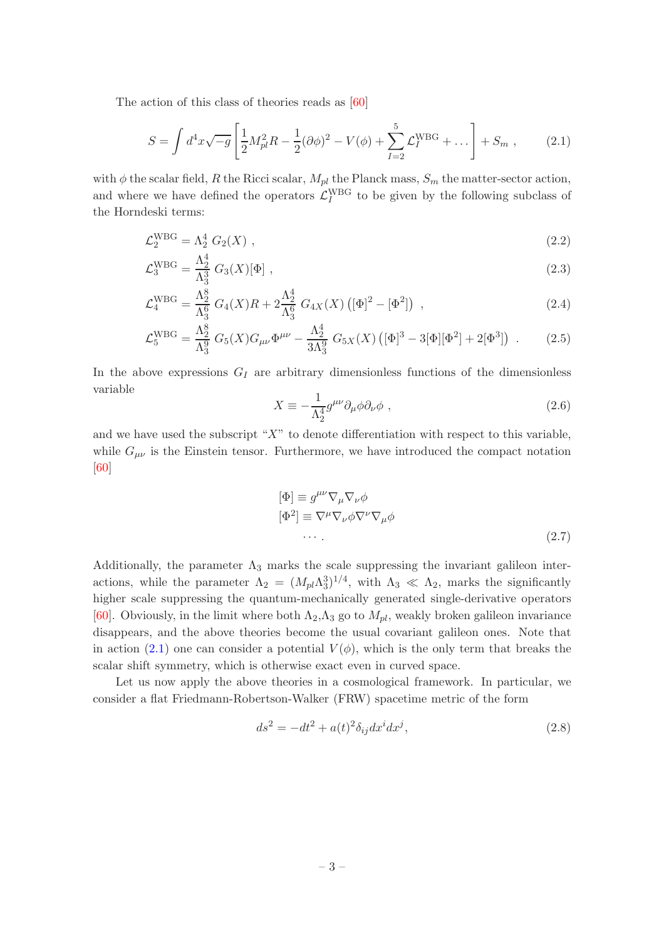The action of this class of theories reads as [\[60](#page-26-0)]

<span id="page-3-0"></span>
$$
S = \int d^4x \sqrt{-g} \left[ \frac{1}{2} M_{pl}^2 R - \frac{1}{2} (\partial \phi)^2 - V(\phi) + \sum_{I=2}^5 \mathcal{L}_I^{\text{WBG}} + \dots \right] + S_m , \qquad (2.1)
$$

with  $\phi$  the scalar field, R the Ricci scalar,  $M_{pl}$  the Planck mass,  $S_m$  the matter-sector action, and where we have defined the operators  $\mathcal{L}_I^{WBG}$  to be given by the following subclass of the Horndeski terms:

$$
\mathcal{L}_2^{\text{WBG}} = \Lambda_2^4 \ G_2(X) \ , \tag{2.2}
$$

$$
\mathcal{L}_3^{\text{WBG}} = \frac{\Lambda_2^4}{\Lambda_3^3} G_3(X)[\Phi] , \qquad (2.3)
$$

$$
\mathcal{L}_4^{\text{WBG}} = \frac{\Lambda_2^8}{\Lambda_3^6} G_4(X)R + 2\frac{\Lambda_2^4}{\Lambda_3^6} G_{4X}(X) ([\Phi]^2 - [\Phi^2]) , \qquad (2.4)
$$

$$
\mathcal{L}_5^{\text{WBG}} = \frac{\Lambda_2^8}{\Lambda_3^9} G_5(X) G_{\mu\nu} \Phi^{\mu\nu} - \frac{\Lambda_2^4}{3\Lambda_3^9} G_{5X}(X) \left( [\Phi]^3 - 3[\Phi][\Phi^2] + 2[\Phi^3] \right) . \tag{2.5}
$$

In the above expressions  $G_I$  are arbitrary dimensionless functions of the dimensionless variable

<span id="page-3-1"></span>
$$
X \equiv -\frac{1}{\Lambda_2^4} g^{\mu\nu} \partial_\mu \phi \partial_\nu \phi , \qquad (2.6)
$$

and we have used the subscript " $X$ " to denote differentiation with respect to this variable, while  $G_{\mu\nu}$  is the Einstein tensor. Furthermore, we have introduced the compact notation [\[60](#page-26-0)]

$$
\begin{aligned} [\Phi] &\equiv g^{\mu\nu} \nabla_{\mu} \nabla_{\nu} \phi \\ [\Phi^2] &\equiv \nabla^{\mu} \nabla_{\nu} \phi \nabla^{\nu} \nabla_{\mu} \phi \\ &\cdots \end{aligned} \tag{2.7}
$$

Additionally, the parameter  $\Lambda_3$  marks the scale suppressing the invariant galileon interactions, while the parameter  $\Lambda_2 = (M_{pl} \Lambda_3^3)^{1/4}$ , with  $\Lambda_3 \ll \Lambda_2$ , marks the significantly higher scale suppressing the quantum-mechanically generated single-derivative operators [\[60](#page-26-0)]. Obviously, in the limit where both  $\Lambda_2, \Lambda_3$  go to  $M_{pl}$ , weakly broken galileon invariance disappears, and the above theories become the usual covariant galileon ones. Note that in action [\(2.1\)](#page-3-0) one can consider a potential  $V(\phi)$ , which is the only term that breaks the scalar shift symmetry, which is otherwise exact even in curved space.

Let us now apply the above theories in a cosmological framework. In particular, we consider a flat Friedmann-Robertson-Walker (FRW) spacetime metric of the form

$$
ds^2 = -dt^2 + a(t)^2 \delta_{ij} dx^i dx^j,
$$
\n(2.8)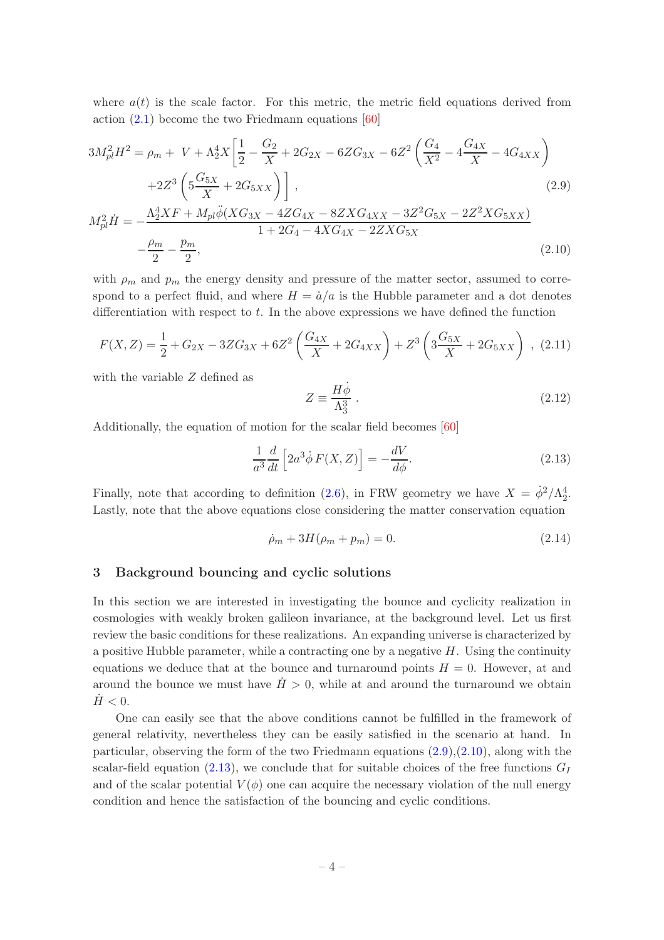where  $a(t)$  is the scale factor. For this metric, the metric field equations derived from action [\(2.1\)](#page-3-0) become the two Friedmann equations [\[60](#page-26-0)]

<span id="page-4-1"></span>
$$
3M_{pl}^{2}H^{2} = \rho_{m} + V + \Lambda_{2}^{4}X \left[ \frac{1}{2} - \frac{G_{2}}{X} + 2G_{2X} - 6ZG_{3X} - 6Z^{2} \left( \frac{G_{4}}{X^{2}} - 4\frac{G_{4X}}{X} - 4G_{4XX} \right) \right] + 2Z^{3} \left( 5\frac{G_{5X}}{X} + 2G_{5XX} \right) \right],
$$
\n
$$
M_{pl}^{2}\dot{H} = -\frac{\Lambda_{2}^{4}XF + M_{pl}\ddot{\phi}(XG_{3X} - 4ZG_{4X} - 8ZXG_{4XX} - 3Z^{2}G_{5X} - 2Z^{2}XG_{5XX})}{1 + 2G_{4} - 4XG_{4X} - 2ZXG_{5X}} \tag{2.9}
$$

$$
-\frac{\rho_m}{2} - \frac{p_m}{2},\tag{2.10}
$$

with  $\rho_m$  and  $p_m$  the energy density and pressure of the matter sector, assumed to correspond to a perfect fluid, and where  $H = \dot{a}/a$  is the Hubble parameter and a dot denotes differentiation with respect to  $t$ . In the above expressions we have defined the function

<span id="page-4-3"></span>
$$
F(X,Z) = \frac{1}{2} + G_{2X} - 3ZG_{3X} + 6Z^2 \left(\frac{G_{4X}}{X} + 2G_{4XX}\right) + Z^3 \left(3\frac{G_{5X}}{X} + 2G_{5XX}\right) ,
$$
 (2.11)

with the variable  $Z$  defined as

<span id="page-4-5"></span>
$$
Z \equiv \frac{H\dot{\phi}}{\Lambda_3^3} \,. \tag{2.12}
$$

Additionally, the equation of motion for the scalar field becomes [\[60](#page-26-0)]

<span id="page-4-2"></span>
$$
\frac{1}{a^3} \frac{d}{dt} \left[ 2a^3 \dot{\phi} F(X, Z) \right] = -\frac{dV}{d\phi}.
$$
\n(2.13)

Finally, note that according to definition [\(2.6\)](#page-3-1), in FRW geometry we have  $X = \dot{\phi}^2/\Lambda_2^4$ . Lastly, note that the above equations close considering the matter conservation equation

<span id="page-4-4"></span>
$$
\dot{\rho}_m + 3H(\rho_m + p_m) = 0. \tag{2.14}
$$

## <span id="page-4-0"></span>3 Background bouncing and cyclic solutions

In this section we are interested in investigating the bounce and cyclicity realization in cosmologies with weakly broken galileon invariance, at the background level. Let us first review the basic conditions for these realizations. An expanding universe is characterized by a positive Hubble parameter, while a contracting one by a negative  $H$ . Using the continuity equations we deduce that at the bounce and turnaround points  $H = 0$ . However, at and around the bounce we must have  $\dot{H} > 0$ , while at and around the turnaround we obtain  $H<0.$ 

One can easily see that the above conditions cannot be fulfilled in the framework of general relativity, nevertheless they can be easily satisfied in the scenario at hand. In particular, observing the form of the two Friedmann equations [\(2.9\)](#page-4-1),[\(2.10\)](#page-4-1), along with the scalar-field equation [\(2.13\)](#page-4-2), we conclude that for suitable choices of the free functions  $G_I$ and of the scalar potential  $V(\phi)$  one can acquire the necessary violation of the null energy condition and hence the satisfaction of the bouncing and cyclic conditions.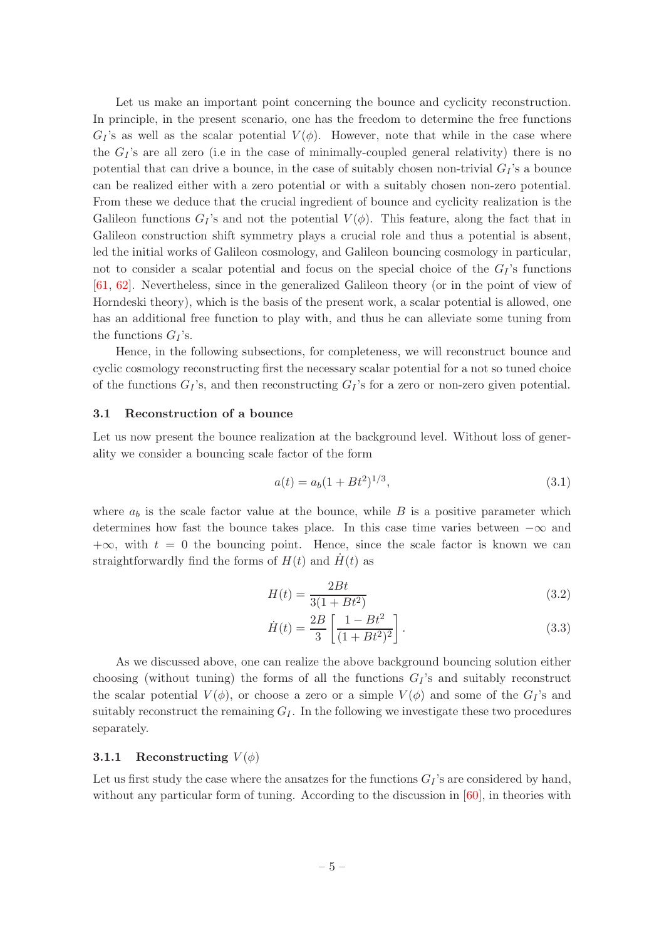Let us make an important point concerning the bounce and cyclicity reconstruction. In principle, in the present scenario, one has the freedom to determine the free functions  $G_I$ 's as well as the scalar potential  $V(\phi)$ . However, note that while in the case where the  $G_l$ 's are all zero (i.e in the case of minimally-coupled general relativity) there is no potential that can drive a bounce, in the case of suitably chosen non-trivial  $G_I$ 's a bounce can be realized either with a zero potential or with a suitably chosen non-zero potential. From these we deduce that the crucial ingredient of bounce and cyclicity realization is the Galileon functions  $G_I$ 's and not the potential  $V(\phi)$ . This feature, along the fact that in Galileon construction shift symmetry plays a crucial role and thus a potential is absent, led the initial works of Galileon cosmology, and Galileon bouncing cosmology in particular, not to consider a scalar potential and focus on the special choice of the  $G_I$ 's functions [\[61](#page-26-1), [62](#page-26-3)]. Nevertheless, since in the generalized Galileon theory (or in the point of view of Horndeski theory), which is the basis of the present work, a scalar potential is allowed, one has an additional free function to play with, and thus he can alleviate some tuning from the functions  $G_I$ 's.

Hence, in the following subsections, for completeness, we will reconstruct bounce and cyclic cosmology reconstructing first the necessary scalar potential for a not so tuned choice of the functions  $G_I$ 's, and then reconstructing  $G_I$ 's for a zero or non-zero given potential.

### <span id="page-5-0"></span>3.1 Reconstruction of a bounce

Let us now present the bounce realization at the background level. Without loss of generality we consider a bouncing scale factor of the form

<span id="page-5-2"></span>
$$
a(t) = a_b(1 + Bt^2)^{1/3},\tag{3.1}
$$

where  $a_b$  is the scale factor value at the bounce, while B is a positive parameter which determines how fast the bounce takes place. In this case time varies between  $-\infty$  and  $+\infty$ , with  $t = 0$  the bouncing point. Hence, since the scale factor is known we can straightforwardly find the forms of  $H(t)$  and  $H(t)$  as

<span id="page-5-3"></span>
$$
H(t) = \frac{2Bt}{3(1 + Bt^2)}
$$
\n(3.2)

$$
\dot{H}(t) = \frac{2B}{3} \left[ \frac{1 - Bt^2}{(1 + Bt^2)^2} \right].
$$
\n(3.3)

As we discussed above, one can realize the above background bouncing solution either choosing (without tuning) the forms of all the functions  $G_I$ 's and suitably reconstruct the scalar potential  $V(\phi)$ , or choose a zero or a simple  $V(\phi)$  and some of the  $G_I$ 's and suitably reconstruct the remaining  $G_I$ . In the following we investigate these two procedures separately.

#### <span id="page-5-1"></span>3.1.1 Reconstructing  $V(\phi)$

Let us first study the case where the ansatzes for the functions  $G_I$ 's are considered by hand, without any particular form of tuning. According to the discussion in [\[60\]](#page-26-0), in theories with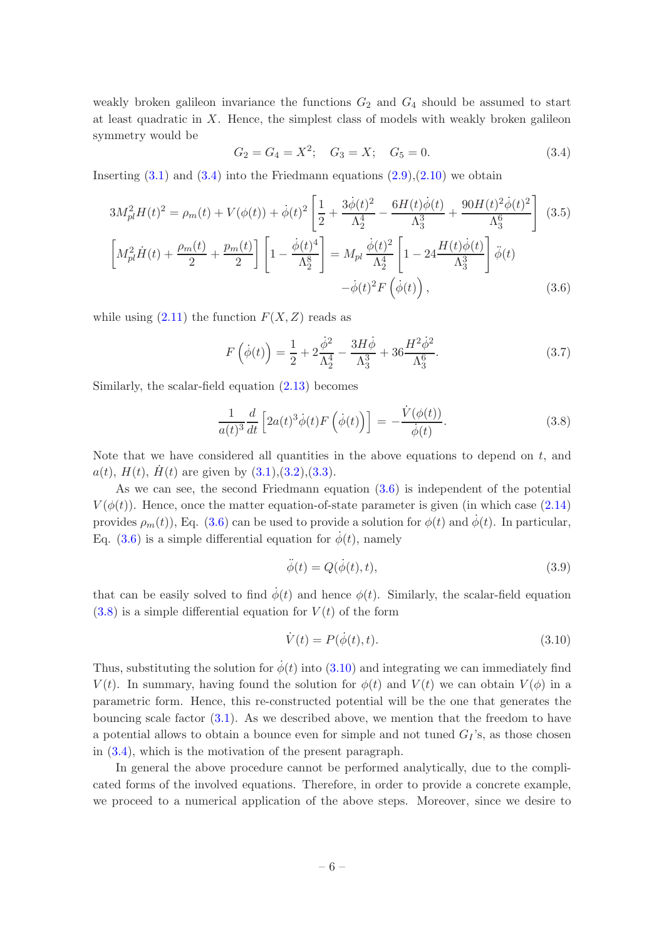weakly broken galileon invariance the functions  $G_2$  and  $G_4$  should be assumed to start at least quadratic in  $X$ . Hence, the simplest class of models with weakly broken galileon symmetry would be

<span id="page-6-0"></span>
$$
G_2 = G_4 = X^2; \quad G_3 = X; \quad G_5 = 0.
$$
\n
$$
(3.4)
$$

Inserting  $(3.1)$  and  $(3.4)$  into the Friedmann equations  $(2.9)$ , $(2.10)$  we obtain

<span id="page-6-1"></span>
$$
3M_{pl}^{2}H(t)^{2} = \rho_{m}(t) + V(\phi(t)) + \dot{\phi}(t)^{2} \left[ \frac{1}{2} + \frac{3\dot{\phi}(t)^{2}}{\Lambda_{2}^{4}} - \frac{6H(t)\dot{\phi}(t)}{\Lambda_{3}^{3}} + \frac{90H(t)^{2}\dot{\phi}(t)^{2}}{\Lambda_{3}^{6}} \right] (3.5)
$$

$$
\left[ M_{pl}^{2}\dot{H}(t) + \frac{\rho_{m}(t)}{2} + \frac{p_{m}(t)}{2} \right] \left[ 1 - \frac{\dot{\phi}(t)^{4}}{\Lambda_{2}^{8}} \right] = M_{pl} \frac{\dot{\phi}(t)^{2}}{\Lambda_{2}^{4}} \left[ 1 - 24 \frac{H(t)\dot{\phi}(t)}{\Lambda_{3}^{3}} \right] \ddot{\phi}(t)
$$

$$
- \dot{\phi}(t)^{2} F\left(\dot{\phi}(t)\right), \qquad (3.6)
$$

while using  $(2.11)$  the function  $F(X, Z)$  reads as

$$
F(\dot{\phi}(t)) = \frac{1}{2} + 2\frac{\dot{\phi}^2}{\Lambda_2^4} - \frac{3H\dot{\phi}}{\Lambda_3^3} + 36\frac{H^2\dot{\phi}^2}{\Lambda_3^6}.
$$
 (3.7)

Similarly, the scalar-field equation [\(2.13\)](#page-4-2) becomes

<span id="page-6-2"></span>
$$
\frac{1}{a(t)^3}\frac{d}{dt}\left[2a(t)^3\dot{\phi}(t)F\left(\dot{\phi}(t)\right)\right] = -\frac{\dot{V}(\phi(t))}{\dot{\phi}(t)}.
$$
\n(3.8)

Note that we have considered all quantities in the above equations to depend on  $t$ , and  $a(t)$ ,  $H(t)$ ,  $\bar{H}(t)$  are given by  $(3.1), (3.2), (3.3).$  $(3.1), (3.2), (3.3).$  $(3.1), (3.2), (3.3).$  $(3.1), (3.2), (3.3).$  $(3.1), (3.2), (3.3).$ 

As we can see, the second Friedmann equation [\(3.6\)](#page-6-1) is independent of the potential  $V(\phi(t))$ . Hence, once the matter equation-of-state parameter is given (in which case [\(2.14\)](#page-4-4) provides  $\rho_m(t)$ , Eq. [\(3.6\)](#page-6-1) can be used to provide a solution for  $\phi(t)$  and  $\dot{\phi}(t)$ . In particular, Eq. [\(3.6\)](#page-6-1) is a simple differential equation for  $\dot{\phi}(t)$ , namely

$$
\ddot{\phi}(t) = Q(\dot{\phi}(t), t),\tag{3.9}
$$

that can be easily solved to find  $\dot{\phi}(t)$  and hence  $\phi(t)$ . Similarly, the scalar-field equation  $(3.8)$  is a simple differential equation for  $V(t)$  of the form

<span id="page-6-3"></span>
$$
\dot{V}(t) = P(\dot{\phi}(t), t). \tag{3.10}
$$

Thus, substituting the solution for  $\dot{\phi}(t)$  into [\(3.10\)](#page-6-3) and integrating we can immediately find  $V(t)$ . In summary, having found the solution for  $\phi(t)$  and  $V(t)$  we can obtain  $V(\phi)$  in a parametric form. Hence, this re-constructed potential will be the one that generates the bouncing scale factor [\(3.1\)](#page-5-2). As we described above, we mention that the freedom to have a potential allows to obtain a bounce even for simple and not tuned  $G_I$ 's, as those chosen in [\(3.4\)](#page-6-0), which is the motivation of the present paragraph.

In general the above procedure cannot be performed analytically, due to the complicated forms of the involved equations. Therefore, in order to provide a concrete example, we proceed to a numerical application of the above steps. Moreover, since we desire to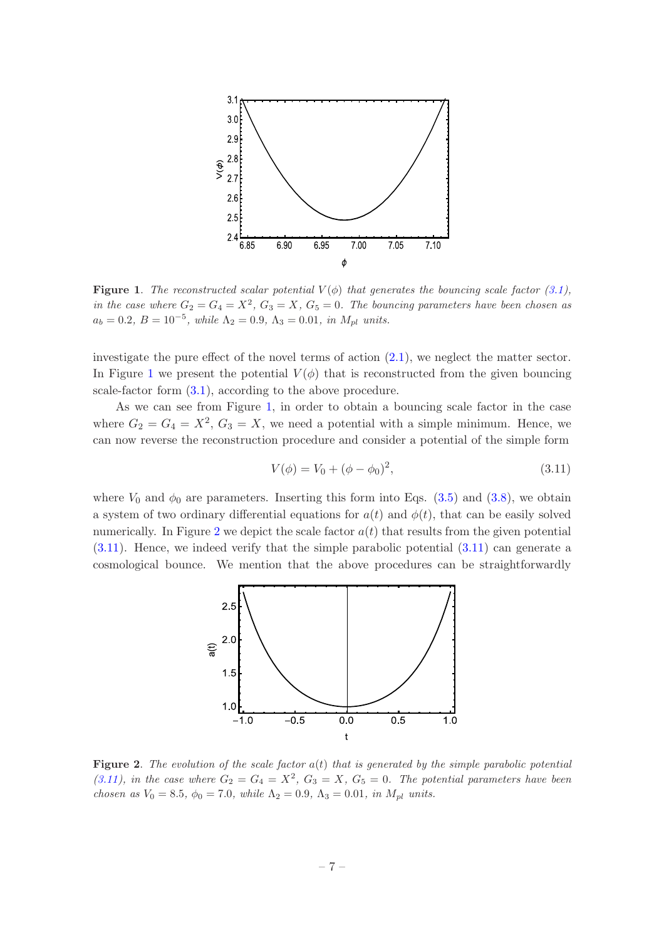

<span id="page-7-0"></span>**Figure 1.** The reconstructed scalar potential  $V(\phi)$  that generates the bouncing scale factor [\(3.1\)](#page-5-2), in the case where  $G_2 = G_4 = X^2$ ,  $G_3 = X$ ,  $G_5 = 0$ . The bouncing parameters have been chosen as  $a_b = 0.2, B = 10^{-5},$  while  $\Lambda_2 = 0.9, \Lambda_3 = 0.01,$  in  $M_{pl}$  units.

investigate the pure effect of the novel terms of action [\(2.1\)](#page-3-0), we neglect the matter sector. In Figure [1](#page-7-0) we present the potential  $V(\phi)$  that is reconstructed from the given bouncing scale-factor form [\(3.1\)](#page-5-2), according to the above procedure.

As we can see from Figure [1,](#page-7-0) in order to obtain a bouncing scale factor in the case where  $G_2 = G_4 = X^2$ ,  $G_3 = X$ , we need a potential with a simple minimum. Hence, we can now reverse the reconstruction procedure and consider a potential of the simple form

<span id="page-7-2"></span>
$$
V(\phi) = V_0 + (\phi - \phi_0)^2,
$$
\n(3.11)

where  $V_0$  and  $\phi_0$  are parameters. Inserting this form into Eqs. [\(3.5\)](#page-6-1) and [\(3.8\)](#page-6-2), we obtain a system of two ordinary differential equations for  $a(t)$  and  $\phi(t)$ , that can be easily solved numerically. In Figure [2](#page-7-1) we depict the scale factor  $a(t)$  that results from the given potential [\(3.11\)](#page-7-2). Hence, we indeed verify that the simple parabolic potential [\(3.11\)](#page-7-2) can generate a cosmological bounce. We mention that the above procedures can be straightforwardly



<span id="page-7-1"></span>**Figure 2.** The evolution of the scale factor  $a(t)$  that is generated by the simple parabolic potential [\(3.11\)](#page-7-2), in the case where  $G_2 = G_4 = X^2$ ,  $G_3 = X$ ,  $G_5 = 0$ . The potential parameters have been chosen as  $V_0 = 8.5$ ,  $\phi_0 = 7.0$ , while  $\Lambda_2 = 0.9$ ,  $\Lambda_3 = 0.01$ , in  $M_{pl}$  units.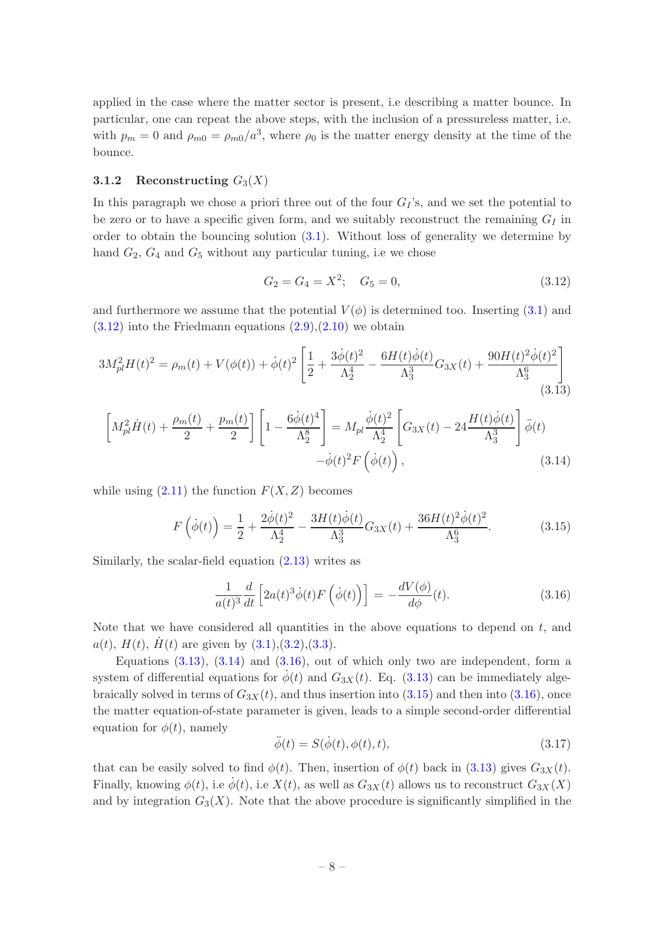applied in the case where the matter sector is present, i.e describing a matter bounce. In particular, one can repeat the above steps, with the inclusion of a pressureless matter, i.e. with  $p_m = 0$  and  $\rho_{m0} = \rho_{m0}/a^3$ , where  $\rho_0$  is the matter energy density at the time of the bounce.

## <span id="page-8-0"></span>3.1.2 Reconstructing  $G_3(X)$

In this paragraph we chose a priori three out of the four  $G_I$ 's, and we set the potential to be zero or to have a specific given form, and we suitably reconstruct the remaining  $G_I$  in order to obtain the bouncing solution  $(3.1)$ . Without loss of generality we determine by hand  $G_2$ ,  $G_4$  and  $G_5$  without any particular tuning, i.e we chose

<span id="page-8-1"></span>
$$
G_2 = G_4 = X^2; \quad G_5 = 0,
$$
\n(3.12)

and furthermore we assume that the potential  $V(\phi)$  is determined too. Inserting [\(3.1\)](#page-5-2) and  $(3.12)$  into the Friedmann equations  $(2.9)$ , $(2.10)$  we obtain

<span id="page-8-2"></span>
$$
3M_{pl}^{2}H(t)^{2} = \rho_{m}(t) + V(\phi(t)) + \dot{\phi}(t)^{2} \left[ \frac{1}{2} + \frac{3\dot{\phi}(t)^{2}}{\Lambda_{2}^{4}} - \frac{6H(t)\dot{\phi}(t)}{\Lambda_{3}^{3}}G_{3X}(t) + \frac{90H(t)^{2}\dot{\phi}(t)^{2}}{\Lambda_{3}^{6}} \right]
$$
\n(3.13)

<span id="page-8-3"></span>
$$
\left[M_{pl}^2 \dot{H}(t) + \frac{\rho_m(t)}{2} + \frac{p_m(t)}{2}\right] \left[1 - \frac{6\dot{\phi}(t)^4}{\Lambda_2^8}\right] = M_{pl} \frac{\dot{\phi}(t)^2}{\Lambda_2^4} \left[G_{3X}(t) - 24\frac{H(t)\dot{\phi}(t)}{\Lambda_3^3}\right] \ddot{\phi}(t) - \dot{\phi}(t)^2 F\left(\dot{\phi}(t)\right),\tag{3.14}
$$

while using  $(2.11)$  the function  $F(X, Z)$  becomes

<span id="page-8-5"></span>
$$
F\left(\dot{\phi}(t)\right) = \frac{1}{2} + \frac{2\dot{\phi}(t)^2}{\Lambda_2^4} - \frac{3H(t)\dot{\phi}(t)}{\Lambda_3^3}G_{3X}(t) + \frac{36H(t)^2\dot{\phi}(t)^2}{\Lambda_3^6}.
$$
 (3.15)

Similarly, the scalar-field equation [\(2.13\)](#page-4-2) writes as

<span id="page-8-4"></span>
$$
\frac{1}{a(t)^3}\frac{d}{dt}\left[2a(t)^3\dot{\phi}(t)F\left(\dot{\phi}(t)\right)\right] = -\frac{dV(\phi)}{d\phi}(t). \tag{3.16}
$$

Note that we have considered all quantities in the above equations to depend on  $t$ , and  $a(t)$ ,  $H(t)$ ,  $H(t)$  are given by  $(3.1), (3.2), (3.3).$  $(3.1), (3.2), (3.3).$  $(3.1), (3.2), (3.3).$  $(3.1), (3.2), (3.3).$  $(3.1), (3.2), (3.3).$ 

Equations  $(3.13)$ ,  $(3.14)$  and  $(3.16)$ , out of which only two are independent, form a system of differential equations for  $\dot{\phi}(t)$  and  $G_{3X}(t)$ . Eq. [\(3.13\)](#page-8-2) can be immediately algebraically solved in terms of  $G_{3X}(t)$ , and thus insertion into [\(3.15\)](#page-8-5) and then into [\(3.16\)](#page-8-4), once the matter equation-of-state parameter is given, leads to a simple second-order differential equation for  $\phi(t)$ , namely

<span id="page-8-6"></span>
$$
\ddot{\phi}(t) = S(\dot{\phi}(t), \phi(t), t), \tag{3.17}
$$

that can be easily solved to find  $\phi(t)$ . Then, insertion of  $\phi(t)$  back in [\(3.13\)](#page-8-2) gives  $G_{3X}(t)$ . Finally, knowing  $\phi(t)$ , i.e  $\dot{\phi}(t)$ , i.e  $X(t)$ , as well as  $G_{3X}(t)$  allows us to reconstruct  $G_{3X}(X)$ and by integration  $G_3(X)$ . Note that the above procedure is significantly simplified in the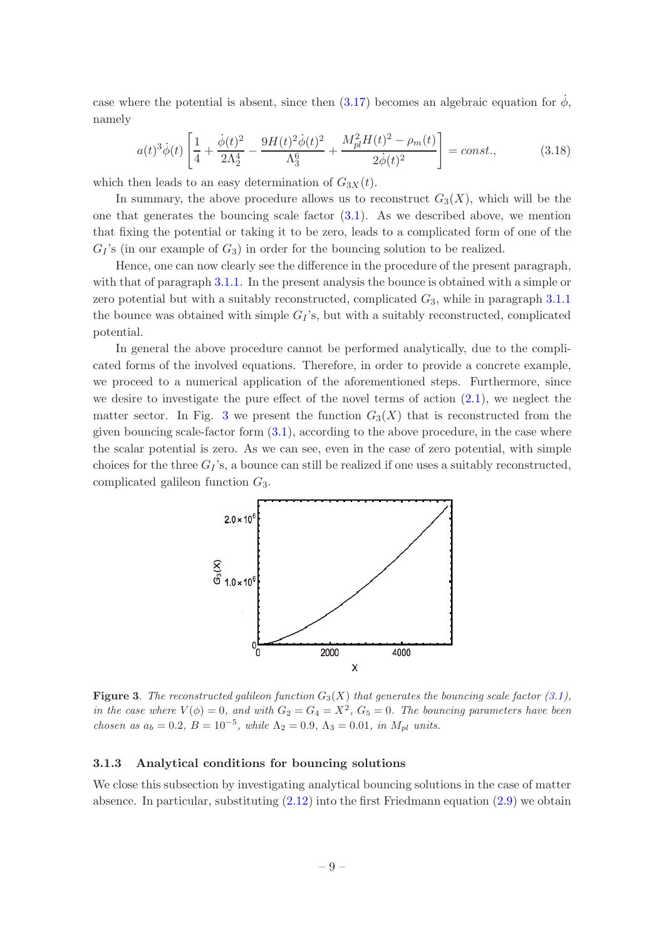case where the potential is absent, since then  $(3.17)$  becomes an algebraic equation for  $\dot{\phi}$ , namely

$$
a(t)^{3}\dot{\phi}(t)\left[\frac{1}{4} + \frac{\dot{\phi}(t)^{2}}{2\Lambda_{2}^{4}} - \frac{9H(t)^{2}\dot{\phi}(t)^{2}}{\Lambda_{3}^{6}} + \frac{M_{pl}^{2}H(t)^{2} - \rho_{m}(t)}{2\dot{\phi}(t)^{2}}\right] = const.,\tag{3.18}
$$

which then leads to an easy determination of  $G_{3X}(t)$ .

In summary, the above procedure allows us to reconstruct  $G_3(X)$ , which will be the one that generates the bouncing scale factor  $(3.1)$ . As we described above, we mention that fixing the potential or taking it to be zero, leads to a complicated form of one of the  $G_I$ 's (in our example of  $G_3$ ) in order for the bouncing solution to be realized.

Hence, one can now clearly see the difference in the procedure of the present paragraph, with that of paragraph [3.1.1.](#page-5-1) In the present analysis the bounce is obtained with a simple or zero potential but with a suitably reconstructed, complicated  $G_3$ , while in paragraph [3.1.1](#page-5-1) the bounce was obtained with simple  $G_I$ 's, but with a suitably reconstructed, complicated potential.

In general the above procedure cannot be performed analytically, due to the complicated forms of the involved equations. Therefore, in order to provide a concrete example, we proceed to a numerical application of the aforementioned steps. Furthermore, since we desire to investigate the pure effect of the novel terms of action  $(2.1)$ , we neglect the matter sector. In Fig. [3](#page-9-1) we present the function  $G_3(X)$  that is reconstructed from the given bouncing scale-factor form  $(3.1)$ , according to the above procedure, in the case where the scalar potential is zero. As we can see, even in the case of zero potential, with simple choices for the three  $G_I$ 's, a bounce can still be realized if one uses a suitably reconstructed, complicated galileon function  $G_3$ .



<span id="page-9-1"></span>Figure 3. The reconstructed galileon function  $G_3(X)$  that generates the bouncing scale factor [\(3.1\)](#page-5-2), in the case where  $V(\phi) = 0$ , and with  $G_2 = G_4 = X^2$ ,  $G_5 = 0$ . The bouncing parameters have been chosen as  $a_b = 0.2$ ,  $B = 10^{-5}$ , while  $\Lambda_2 = 0.9$ ,  $\Lambda_3 = 0.01$ , in  $M_{pl}$  units.

#### <span id="page-9-0"></span>3.1.3 Analytical conditions for bouncing solutions

We close this subsection by investigating analytical bouncing solutions in the case of matter absence. In particular, substituting  $(2.12)$  into the first Friedmann equation  $(2.9)$  we obtain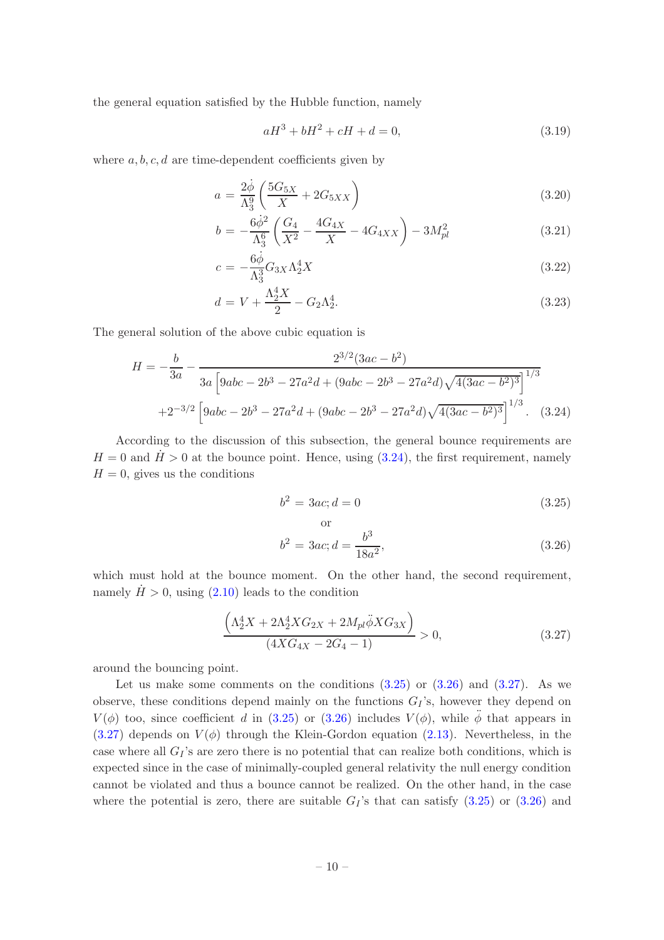the general equation satisfied by the Hubble function, namely

$$
aH^3 + bH^2 + cH + d = 0,\t\t(3.19)
$$

where  $a, b, c, d$  are time-dependent coefficients given by

$$
a = \frac{2\dot{\phi}}{\Lambda_3^9} \left( \frac{5G_{5X}}{X} + 2G_{5XX} \right)
$$
 (3.20)

$$
b = -\frac{6\dot{\phi}^2}{\Lambda_3^6} \left( \frac{G_4}{X^2} - \frac{4G_{4X}}{X} - 4G_{4XX} \right) - 3M_{pl}^2 \tag{3.21}
$$

$$
c = -\frac{6\dot{\phi}}{\Lambda_3^3} G_{3X} \Lambda_2^4 X \tag{3.22}
$$

$$
d = V + \frac{\Lambda_2^4 X}{2} - G_2 \Lambda_2^4. \tag{3.23}
$$

The general solution of the above cubic equation is

<span id="page-10-0"></span>
$$
H = -\frac{b}{3a} - \frac{2^{3/2}(3ac - b^2)}{3a\left[9abc - 2b^3 - 27a^2d + (9abc - 2b^3 - 27a^2d)\sqrt{4(3ac - b^2)^3}\right]^{1/3}} + 2^{-3/2}\left[9abc - 2b^3 - 27a^2d + (9abc - 2b^3 - 27a^2d)\sqrt{4(3ac - b^2)^3}\right]^{1/3}.
$$
 (3.24)

According to the discussion of this subsection, the general bounce requirements are  $H = 0$  and  $H > 0$  at the bounce point. Hence, using [\(3.24\)](#page-10-0), the first requirement, namely  $H = 0$ , gives us the conditions

<span id="page-10-1"></span>
$$
b^2 = 3ac; d = 0 \tag{3.25}
$$

or  

$$
b^2 = 3ac; d = \frac{b^3}{18a^2},
$$
\n(3.26)

which must hold at the bounce moment. On the other hand, the second requirement, namely  $H > 0$ , using  $(2.10)$  leads to the condition

<span id="page-10-2"></span>
$$
\frac{\left(\Lambda_2^4 X + 2\Lambda_2^4 X G_{2X} + 2M_{pl} \ddot{\phi} X G_{3X}\right)}{(4X G_{4X} - 2G_4 - 1)} > 0,
$$
\n(3.27)

around the bouncing point.

Let us make some comments on the conditions  $(3.25)$  or  $(3.26)$  and  $(3.27)$ . As we observe, these conditions depend mainly on the functions  $G_I$ 's, however they depend on  $V(\phi)$  too, since coefficient d in [\(3.25\)](#page-10-1) or [\(3.26\)](#page-10-1) includes  $V(\phi)$ , while  $\ddot{\phi}$  that appears in  $(3.27)$  depends on  $V(\phi)$  through the Klein-Gordon equation  $(2.13)$ . Nevertheless, in the case where all  $G_I$ 's are zero there is no potential that can realize both conditions, which is expected since in the case of minimally-coupled general relativity the null energy condition cannot be violated and thus a bounce cannot be realized. On the other hand, in the case where the potential is zero, there are suitable  $G_I$ 's that can satisfy  $(3.25)$  or  $(3.26)$  and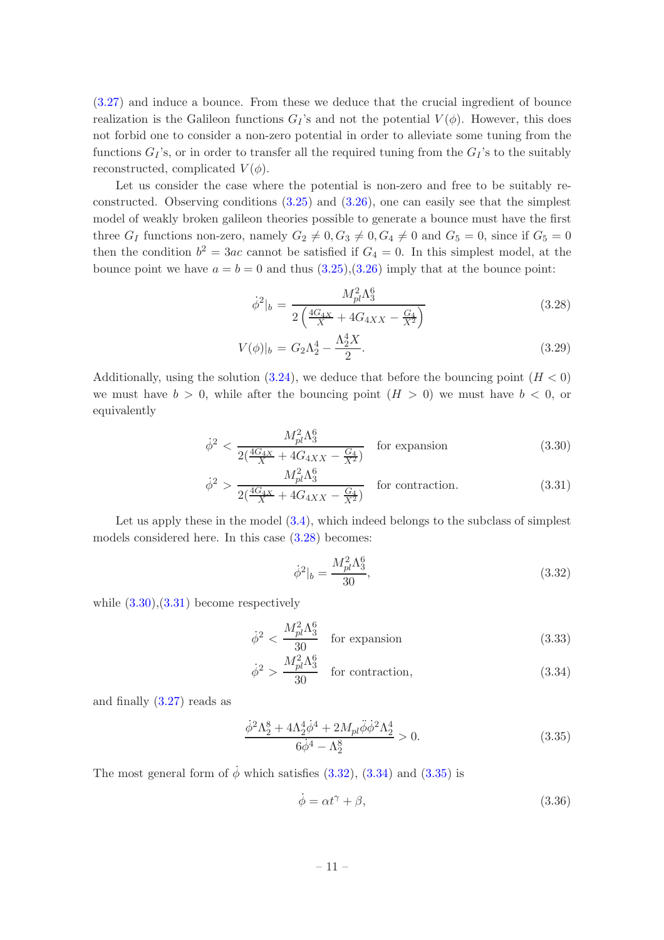[\(3.27\)](#page-10-2) and induce a bounce. From these we deduce that the crucial ingredient of bounce realization is the Galileon functions  $G_I$ 's and not the potential  $V(\phi)$ . However, this does not forbid one to consider a non-zero potential in order to alleviate some tuning from the functions  $G_I$ 's, or in order to transfer all the required tuning from the  $G_I$ 's to the suitably reconstructed, complicated  $V(\phi)$ .

Let us consider the case where the potential is non-zero and free to be suitably reconstructed. Observing conditions [\(3.25\)](#page-10-1) and [\(3.26\)](#page-10-1), one can easily see that the simplest model of weakly broken galileon theories possible to generate a bounce must have the first three  $G_I$  functions non-zero, namely  $G_2 \neq 0, G_3 \neq 0, G_4 \neq 0$  and  $G_5 = 0$ , since if  $G_5 = 0$ then the condition  $b^2 = 3ac$  cannot be satisfied if  $G_4 = 0$ . In this simplest model, at the bounce point we have  $a = b = 0$  and thus  $(3.25),(3.26)$  $(3.25),(3.26)$  imply that at the bounce point:

<span id="page-11-0"></span>
$$
\dot{\phi}^2|_b = \frac{M_{pl}^2 \Lambda_3^6}{2\left(\frac{4G_{4X}}{X} + 4G_{4XX} - \frac{G_4}{X^2}\right)}\tag{3.28}
$$

$$
V(\phi)|_b = G_2 \Lambda_2^4 - \frac{\Lambda_2^4 X}{2}.
$$
\n(3.29)

Additionally, using the solution  $(3.24)$ , we deduce that before the bouncing point  $(H < 0)$ we must have  $b > 0$ , while after the bouncing point  $(H > 0)$  we must have  $b < 0$ , or equivalently

<span id="page-11-1"></span>
$$
\dot{\phi}^2 < \frac{M_{pl}^2 \Lambda_3^6}{2(\frac{4G_{4X}}{X} + 4G_{4XX} - \frac{G_4}{X^2})} \quad \text{for expansion} \tag{3.30}
$$

$$
\dot{\phi}^2 > \frac{M_{pl}^2 \Lambda_3^6}{2(\frac{4G_{4X}}{X} + 4G_{4XX} - \frac{G_4}{X^2})} \quad \text{for contraction.} \tag{3.31}
$$

Let us apply these in the model  $(3.4)$ , which indeed belongs to the subclass of simplest models considered here. In this case [\(3.28\)](#page-11-0) becomes:

<span id="page-11-2"></span>
$$
\dot{\phi}^2|_b = \frac{M_{pl}^2 \Lambda_3^6}{30},\tag{3.32}
$$

while  $(3.30),(3.31)$  $(3.30),(3.31)$  become respectively

<span id="page-11-3"></span>
$$
\dot{\phi}^2 < \frac{M_{pl}^2 \Lambda_3^6}{30} \quad \text{for expansion} \tag{3.33}
$$

$$
\dot{\phi}^2 > \frac{M_{pl}^2 \Lambda_3^6}{30} \quad \text{for contraction}, \tag{3.34}
$$

and finally [\(3.27\)](#page-10-2) reads as

<span id="page-11-4"></span>
$$
\frac{\dot{\phi}^2 \Lambda_2^8 + 4\Lambda_2^4 \dot{\phi}^4 + 2M_{pl} \ddot{\phi} \dot{\phi}^2 \Lambda_2^4}{6\dot{\phi}^4 - \Lambda_2^8} > 0.
$$
\n(3.35)

The most general form of  $\dot{\phi}$  which satisfies [\(3.32\)](#page-11-2), [\(3.34\)](#page-11-3) and [\(3.35\)](#page-11-4) is

$$
\dot{\phi} = \alpha t^{\gamma} + \beta,\tag{3.36}
$$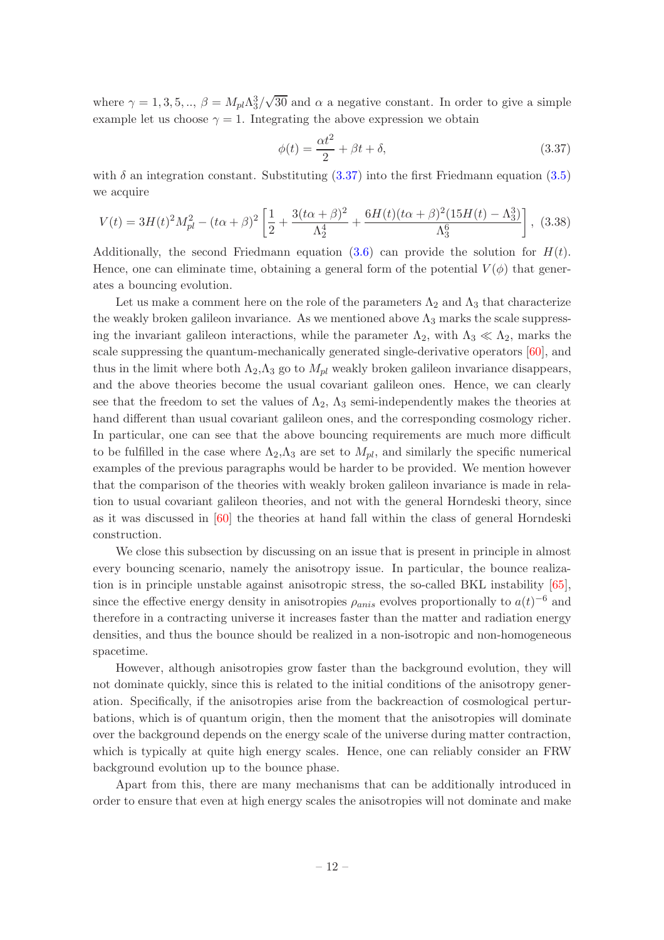where  $\gamma = 1, 3, 5, \dots$ ,  $\beta = M_{pl} \Lambda_3^3 / \sqrt{30}$  and  $\alpha$  a negative constant. In order to give a simple example let us choose  $\gamma = 1$ . Integrating the above expression we obtain

<span id="page-12-0"></span>
$$
\phi(t) = \frac{\alpha t^2}{2} + \beta t + \delta,\tag{3.37}
$$

with  $\delta$  an integration constant. Substituting [\(3.37\)](#page-12-0) into the first Friedmann equation [\(3.5\)](#page-6-1) we acquire

$$
V(t) = 3H(t)^{2}M_{pl}^{2} - (t\alpha + \beta)^{2} \left[ \frac{1}{2} + \frac{3(t\alpha + \beta)^{2}}{\Lambda_{2}^{4}} + \frac{6H(t)(t\alpha + \beta)^{2}(15H(t) - \Lambda_{3}^{3})}{\Lambda_{3}^{6}} \right],
$$
 (3.38)

Additionally, the second Friedmann equation [\(3.6\)](#page-6-1) can provide the solution for  $H(t)$ . Hence, one can eliminate time, obtaining a general form of the potential  $V(\phi)$  that generates a bouncing evolution.

Let us make a comment here on the role of the parameters  $\Lambda_2$  and  $\Lambda_3$  that characterize the weakly broken galileon invariance. As we mentioned above  $\Lambda_3$  marks the scale suppressing the invariant galileon interactions, while the parameter  $\Lambda_2$ , with  $\Lambda_3 \ll \Lambda_2$ , marks the scale suppressing the quantum-mechanically generated single-derivative operators [\[60](#page-26-0)], and thus in the limit where both  $\Lambda_2, \Lambda_3$  go to  $M_{pl}$  weakly broken galileon invariance disappears, and the above theories become the usual covariant galileon ones. Hence, we can clearly see that the freedom to set the values of  $\Lambda_2$ ,  $\Lambda_3$  semi-independently makes the theories at hand different than usual covariant galileon ones, and the corresponding cosmology richer. In particular, one can see that the above bouncing requirements are much more difficult to be fulfilled in the case where  $\Lambda_2, \Lambda_3$  are set to  $M_{pl}$ , and similarly the specific numerical examples of the previous paragraphs would be harder to be provided. We mention however that the comparison of the theories with weakly broken galileon invariance is made in relation to usual covariant galileon theories, and not with the general Horndeski theory, since as it was discussed in [\[60](#page-26-0)] the theories at hand fall within the class of general Horndeski construction.

We close this subsection by discussing on an issue that is present in principle in almost every bouncing scenario, namely the anisotropy issue. In particular, the bounce realization is in principle unstable against anisotropic stress, the so-called BKL instability [\[65\]](#page-26-4), since the effective energy density in anisotropies  $\rho_{anis}$  evolves proportionally to  $a(t)^{-6}$  and therefore in a contracting universe it increases faster than the matter and radiation energy densities, and thus the bounce should be realized in a non-isotropic and non-homogeneous spacetime.

However, although anisotropies grow faster than the background evolution, they will not dominate quickly, since this is related to the initial conditions of the anisotropy generation. Specifically, if the anisotropies arise from the backreaction of cosmological perturbations, which is of quantum origin, then the moment that the anisotropies will dominate over the background depends on the energy scale of the universe during matter contraction, which is typically at quite high energy scales. Hence, one can reliably consider an FRW background evolution up to the bounce phase.

Apart from this, there are many mechanisms that can be additionally introduced in order to ensure that even at high energy scales the anisotropies will not dominate and make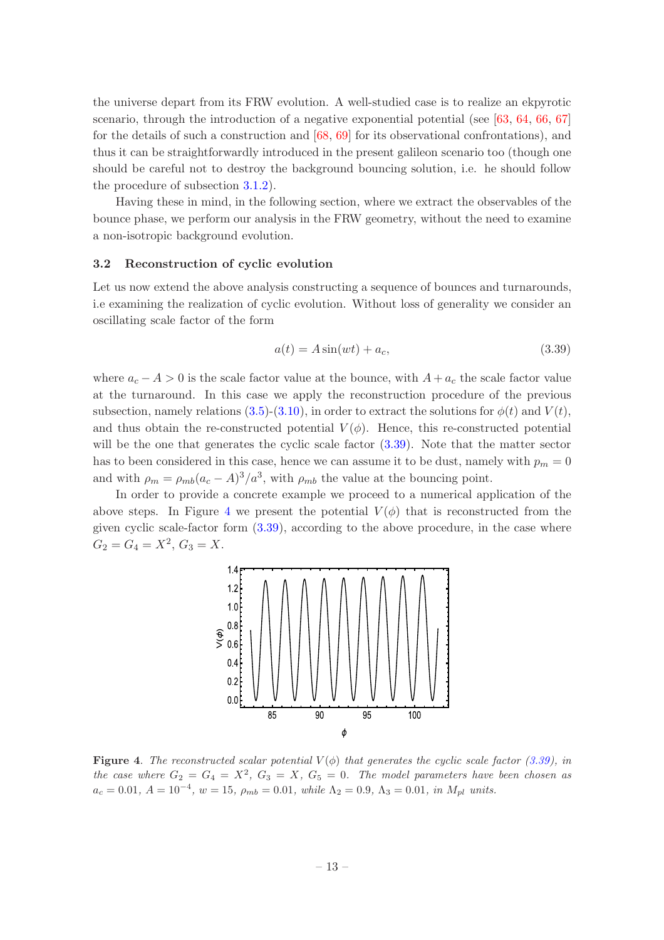the universe depart from its FRW evolution. A well-studied case is to realize an ekpyrotic scenario, through the introduction of a negative exponential potential (see  $[63, 64, 66, 67]$  $[63, 64, 66, 67]$  $[63, 64, 66, 67]$  $[63, 64, 66, 67]$  $[63, 64, 66, 67]$  $[63, 64, 66, 67]$ ) for the details of such a construction and [\[68,](#page-26-8) [69](#page-26-9)] for its observational confrontations), and thus it can be straightforwardly introduced in the present galileon scenario too (though one should be careful not to destroy the background bouncing solution, i.e. he should follow the procedure of subsection [3.1.2\)](#page-8-0).

Having these in mind, in the following section, where we extract the observables of the bounce phase, we perform our analysis in the FRW geometry, without the need to examine a non-isotropic background evolution.

#### <span id="page-13-0"></span>3.2 Reconstruction of cyclic evolution

Let us now extend the above analysis constructing a sequence of bounces and turnarounds, i.e examining the realization of cyclic evolution. Without loss of generality we consider an oscillating scale factor of the form

<span id="page-13-1"></span>
$$
a(t) = A\sin(wt) + a_c,\tag{3.39}
$$

where  $a_c - A > 0$  is the scale factor value at the bounce, with  $A + a_c$  the scale factor value at the turnaround. In this case we apply the reconstruction procedure of the previous subsection, namely relations [\(3.5\)](#page-6-1)-[\(3.10\)](#page-6-3), in order to extract the solutions for  $\phi(t)$  and  $V(t)$ , and thus obtain the re-constructed potential  $V(\phi)$ . Hence, this re-constructed potential will be the one that generates the cyclic scale factor  $(3.39)$ . Note that the matter sector has to been considered in this case, hence we can assume it to be dust, namely with  $p_m = 0$ and with  $\rho_m = \rho_{mb}(a_c - A)^3 / a^3$ , with  $\rho_{mb}$  the value at the bouncing point.

In order to provide a concrete example we proceed to a numerical application of the above steps. In Figure [4](#page-13-2) we present the potential  $V(\phi)$  that is reconstructed from the given cyclic scale-factor form [\(3.39\)](#page-13-1), according to the above procedure, in the case where  $G_2 = G_4 = X^2, G_3 = X.$ 



<span id="page-13-2"></span>**Figure 4.** The reconstructed scalar potential  $V(\phi)$  that generates the cyclic scale factor [\(3.39\)](#page-13-1), in the case where  $G_2 = G_4 = X^2$ ,  $G_3 = X$ ,  $G_5 = 0$ . The model parameters have been chosen as  $a_c = 0.01, A = 10^{-4}, w = 15, \rho_{mb} = 0.01, while \Lambda_2 = 0.9, \Lambda_3 = 0.01, in M_{pl}$  units.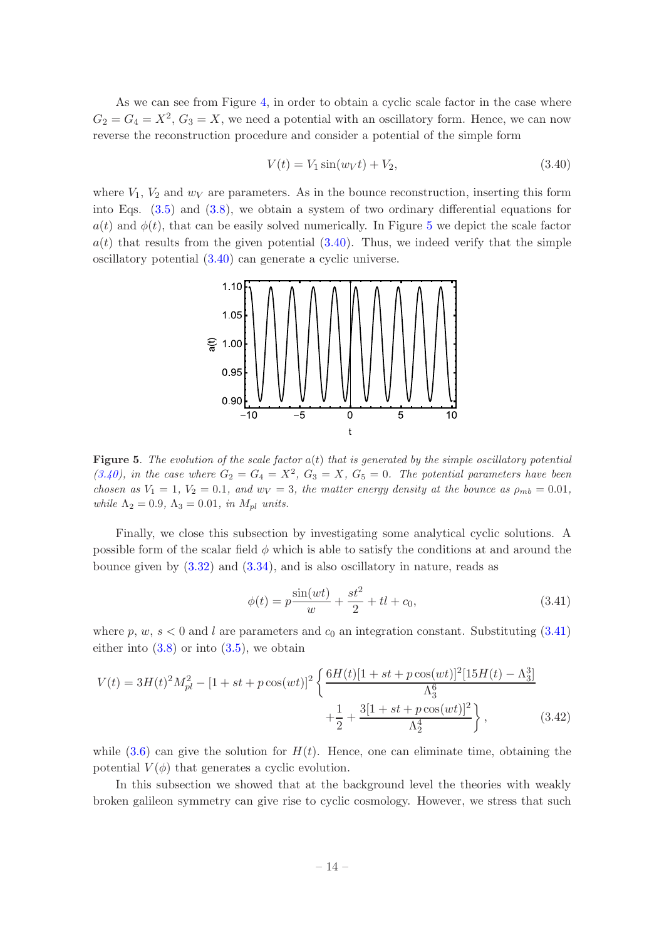As we can see from Figure [4,](#page-13-2) in order to obtain a cyclic scale factor in the case where  $G_2 = G_4 = X^2$ ,  $G_3 = X$ , we need a potential with an oscillatory form. Hence, we can now reverse the reconstruction procedure and consider a potential of the simple form

<span id="page-14-1"></span>
$$
V(t) = V_1 \sin(w_V t) + V_2,
$$
\n(3.40)

where  $V_1$ ,  $V_2$  and  $w_V$  are parameters. As in the bounce reconstruction, inserting this form into Eqs. [\(3.5\)](#page-6-1) and [\(3.8\)](#page-6-2), we obtain a system of two ordinary differential equations for  $a(t)$  and  $\phi(t)$ , that can be easily solved numerically. In Figure [5](#page-14-0) we depict the scale factor  $a(t)$  that results from the given potential  $(3.40)$ . Thus, we indeed verify that the simple oscillatory potential [\(3.40\)](#page-14-1) can generate a cyclic universe.



<span id="page-14-0"></span>**Figure 5.** The evolution of the scale factor  $a(t)$  that is generated by the simple oscillatory potential [\(3.40\)](#page-14-1), in the case where  $G_2 = G_4 = X^2$ ,  $G_3 = X$ ,  $G_5 = 0$ . The potential parameters have been chosen as  $V_1 = 1$ ,  $V_2 = 0.1$ , and  $w_V = 3$ , the matter energy density at the bounce as  $\rho_{mb} = 0.01$ , while  $\Lambda_2 = 0.9$ ,  $\Lambda_3 = 0.01$ , in  $M_{pl}$  units.

Finally, we close this subsection by investigating some analytical cyclic solutions. A possible form of the scalar field  $\phi$  which is able to satisfy the conditions at and around the bounce given by [\(3.32\)](#page-11-2) and [\(3.34\)](#page-11-3), and is also oscillatory in nature, reads as

<span id="page-14-2"></span>
$$
\phi(t) = p \frac{\sin(wt)}{w} + \frac{st^2}{2} + tl + c_0,
$$
\n(3.41)

where p, w,  $s < 0$  and l are parameters and  $c_0$  an integration constant. Substituting [\(3.41\)](#page-14-2) either into  $(3.8)$  or into  $(3.5)$ , we obtain

$$
V(t) = 3H(t)^{2}M_{pl}^{2} - [1 + st + p\cos(wt)]^{2} \left\{ \frac{6H(t)[1 + st + p\cos(wt)]^{2}[15H(t) - \Lambda_{3}^{3}]}{\Lambda_{3}^{6}} + \frac{1}{2} + \frac{3[1 + st + p\cos(wt)]^{2}}{\Lambda_{2}^{4}} \right\},
$$
\n(3.42)

while  $(3.6)$  can give the solution for  $H(t)$ . Hence, one can eliminate time, obtaining the potential  $V(\phi)$  that generates a cyclic evolution.

In this subsection we showed that at the background level the theories with weakly broken galileon symmetry can give rise to cyclic cosmology. However, we stress that such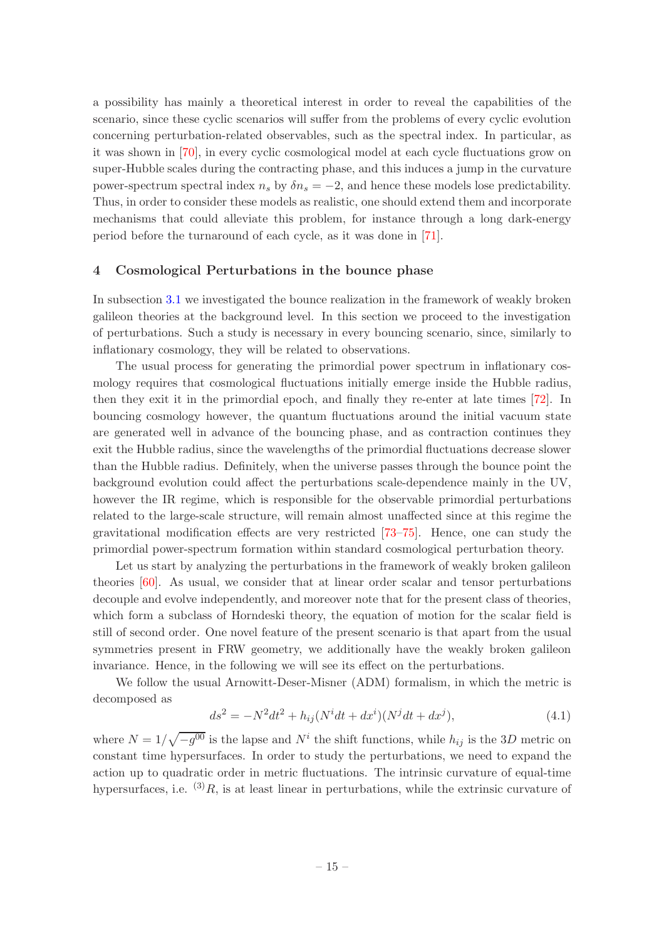a possibility has mainly a theoretical interest in order to reveal the capabilities of the scenario, since these cyclic scenarios will suffer from the problems of every cyclic evolution concerning perturbation-related observables, such as the spectral index. In particular, as it was shown in [\[70](#page-26-10)], in every cyclic cosmological model at each cycle fluctuations grow on super-Hubble scales during the contracting phase, and this induces a jump in the curvature power-spectrum spectral index  $n_s$  by  $\delta n_s = -2$ , and hence these models lose predictability. Thus, in order to consider these models as realistic, one should extend them and incorporate mechanisms that could alleviate this problem, for instance through a long dark-energy period before the turnaround of each cycle, as it was done in [\[71](#page-26-11)].

## <span id="page-15-0"></span>4 Cosmological Perturbations in the bounce phase

In subsection [3.1](#page-5-0) we investigated the bounce realization in the framework of weakly broken galileon theories at the background level. In this section we proceed to the investigation of perturbations. Such a study is necessary in every bouncing scenario, since, similarly to inflationary cosmology, they will be related to observations.

The usual process for generating the primordial power spectrum in inflationary cosmology requires that cosmological fluctuations initially emerge inside the Hubble radius, then they exit it in the primordial epoch, and finally they re-enter at late times [\[72](#page-26-12)]. In bouncing cosmology however, the quantum fluctuations around the initial vacuum state are generated well in advance of the bouncing phase, and as contraction continues they exit the Hubble radius, since the wavelengths of the primordial fluctuations decrease slower than the Hubble radius. Definitely, when the universe passes through the bounce point the background evolution could affect the perturbations scale-dependence mainly in the UV, however the IR regime, which is responsible for the observable primordial perturbations related to the large-scale structure, will remain almost unaffected since at this regime the gravitational modification effects are very restricted [\[73](#page-26-13)[–75\]](#page-26-14). Hence, one can study the primordial power-spectrum formation within standard cosmological perturbation theory.

Let us start by analyzing the perturbations in the framework of weakly broken galileon theories [\[60\]](#page-26-0). As usual, we consider that at linear order scalar and tensor perturbations decouple and evolve independently, and moreover note that for the present class of theories, which form a subclass of Horndeski theory, the equation of motion for the scalar field is still of second order. One novel feature of the present scenario is that apart from the usual symmetries present in FRW geometry, we additionally have the weakly broken galileon invariance. Hence, in the following we will see its effect on the perturbations.

We follow the usual Arnowitt-Deser-Misner (ADM) formalism, in which the metric is decomposed as

$$
ds^{2} = -N^{2}dt^{2} + h_{ij}(N^{i}dt + dx^{i})(N^{j}dt + dx^{j}),
$$
\n(4.1)

where  $N = 1/\sqrt{-g^{00}}$  is the lapse and  $N^i$  the shift functions, while  $h_{ij}$  is the 3D metric on constant time hypersurfaces. In order to study the perturbations, we need to expand the action up to quadratic order in metric fluctuations. The intrinsic curvature of equal-time hypersurfaces, i.e.  $(3)R$ , is at least linear in perturbations, while the extrinsic curvature of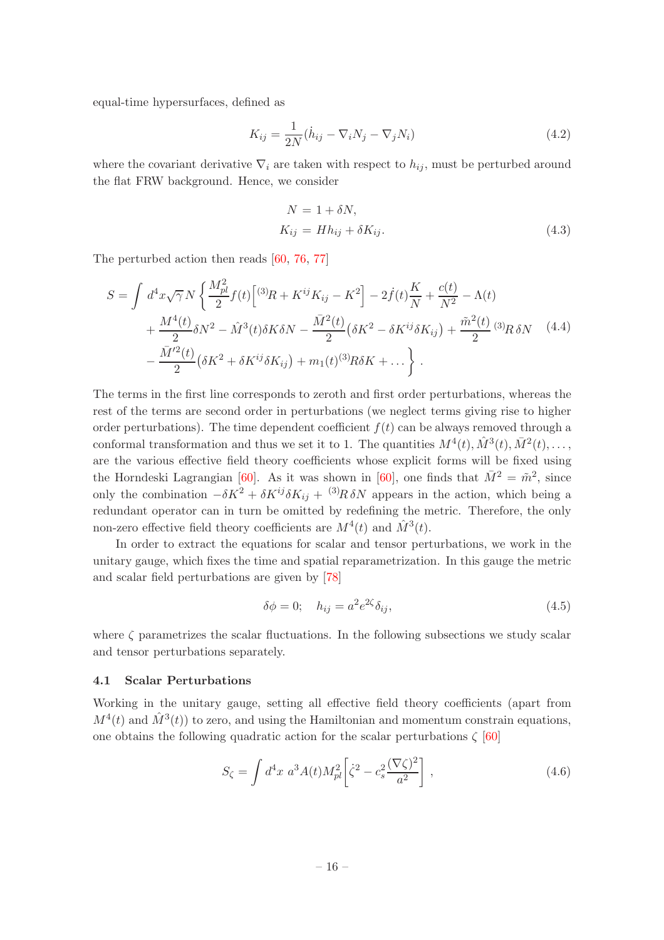equal-time hypersurfaces, defined as

$$
K_{ij} = \frac{1}{2N}(\dot{h}_{ij} - \nabla_i N_j - \nabla_j N_i)
$$
\n(4.2)

where the covariant derivative  $\nabla_i$  are taken with respect to  $h_{ij}$ , must be perturbed around the flat FRW background. Hence, we consider

$$
N = 1 + \delta N,
$$
  
\n
$$
K_{ij} = Hh_{ij} + \delta K_{ij}.
$$
\n(4.3)

The perturbed action then reads [\[60,](#page-26-0) [76](#page-26-15), [77\]](#page-26-16)

<span id="page-16-1"></span>
$$
S = \int d^4x \sqrt{\gamma} N \left\{ \frac{M_{pl}^2}{2} f(t) \left[ {}^{(3)}R + K^{ij}K_{ij} - K^2 \right] - 2f(t) \frac{K}{N} + \frac{c(t)}{N^2} - \Lambda(t) \right. \\ + \frac{M^4(t)}{2} \delta N^2 - \hat{M}^3(t) \delta K \delta N - \frac{\bar{M}^2(t)}{2} \left( \delta K^2 - \delta K^{ij} \delta K_{ij} \right) + \frac{\tilde{m}^2(t)}{2} \left( 3 \right) R \delta N \quad (4.4) \\ - \frac{\bar{M}'^2(t)}{2} \left( \delta K^2 + \delta K^{ij} \delta K_{ij} \right) + m_1(t)^{(3)} R \delta K + \dots \right\} .
$$

The terms in the first line corresponds to zeroth and first order perturbations, whereas the rest of the terms are second order in perturbations (we neglect terms giving rise to higher order perturbations). The time dependent coefficient  $f(t)$  can be always removed through a conformal transformation and thus we set it to 1. The quantities  $M^4(t)$ ,  $\hat{M}^3(t)$ ,  $\bar{M}^2(t)$ , ..., are the various effective field theory coefficients whose explicit forms will be fixed using the Horndeski Lagrangian [\[60\]](#page-26-0). As it was shown in [\[60](#page-26-0)], one finds that  $\bar{M}^2 = \tilde{m}^2$ , since only the combination  $-\delta K^2 + \delta K^{ij} \delta K_{ij} + {}^{(3)}R \delta N$  appears in the action, which being a redundant operator can in turn be omitted by redefining the metric. Therefore, the only non-zero effective field theory coefficients are  $M^4(t)$  and  $\hat{M}^3(t)$ .

In order to extract the equations for scalar and tensor perturbations, we work in the unitary gauge, which fixes the time and spatial reparametrization. In this gauge the metric and scalar field perturbations are given by [\[78](#page-26-17)]

$$
\delta\phi = 0; \quad h_{ij} = a^2 e^{2\zeta} \delta_{ij}, \tag{4.5}
$$

where  $\zeta$  parametrizes the scalar fluctuations. In the following subsections we study scalar and tensor perturbations separately.

## <span id="page-16-0"></span>4.1 Scalar Perturbations

Working in the unitary gauge, setting all effective field theory coefficients (apart from  $M^{4}(t)$  and  $\hat{M}^{3}(t)$  to zero, and using the Hamiltonian and momentum constrain equations, one obtains the following quadratic action for the scalar perturbations  $\zeta$  [\[60\]](#page-26-0)

$$
S_{\zeta} = \int d^4x \ a^3 A(t) M_{pl}^2 \left[ \dot{\zeta}^2 - c_s^2 \frac{(\nabla \zeta)^2}{a^2} \right], \tag{4.6}
$$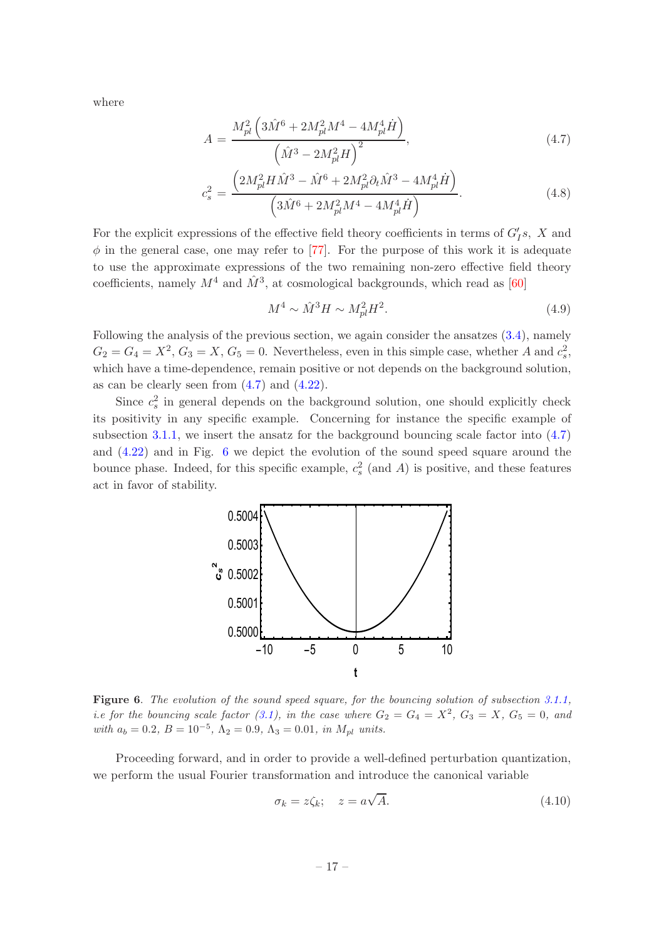where

<span id="page-17-0"></span>
$$
A = \frac{M_{pl}^2 \left(3\hat{M}^6 + 2M_{pl}^2 M^4 - 4M_{pl}^4 \dot{H}\right)}{\left(\hat{M}^3 - 2M_{pl}^2 H\right)^2},\tag{4.7}
$$

$$
c_s^2 = \frac{\left(2M_{pl}^2H\hat{M}^3 - \hat{M}^6 + 2M_{pl}^2\partial_t\hat{M}^3 - 4M_{pl}^4\dot{H}\right)}{\left(3\hat{M}^6 + 2M_{pl}^2M^4 - 4M_{pl}^4\dot{H}\right)}.
$$
\n(4.8)

For the explicit expressions of the effective field theory coefficients in terms of  $G'_{I}s$ , X and  $\phi$  in the general case, one may refer to [\[77](#page-26-16)]. For the purpose of this work it is adequate to use the approximate expressions of the two remaining non-zero effective field theory coefficients, namely  $M^4$  and  $\hat{M}^3$ , at cosmological backgrounds, which read as [\[60](#page-26-0)]

$$
M^4 \sim \hat{M}^3 H \sim M_{pl}^2 H^2. \tag{4.9}
$$

Following the analysis of the previous section, we again consider the ansatzes [\(3.4\)](#page-6-0), namely  $G_2 = G_4 = X^2, G_3 = X, G_5 = 0.$  Nevertheless, even in this simple case, whether A and  $c_s^2$ , which have a time-dependence, remain positive or not depends on the background solution, as can be clearly seen from  $(4.7)$  and  $(4.22)$ .

Since  $c_s^2$  in general depends on the background solution, one should explicitly check its positivity in any specific example. Concerning for instance the specific example of subsection [3.1.1,](#page-5-1) we insert the ansatz for the background bouncing scale factor into  $(4.7)$ and [\(4.22\)](#page-19-0) and in Fig. [6](#page-17-1) we depict the evolution of the sound speed square around the bounce phase. Indeed, for this specific example,  $c_s^2$  (and A) is positive, and these features act in favor of stability.



<span id="page-17-1"></span>Figure 6. The evolution of the sound speed square, for the bouncing solution of subsection [3.1.1,](#page-5-1) *i.e for the bouncing scale factor* [\(3.1\)](#page-5-2), in the case where  $G_2 = G_4 = X^2$ ,  $G_3 = X$ ,  $G_5 = 0$ , and with  $a_b = 0.2$ ,  $B = 10^{-5}$ ,  $\Lambda_2 = 0.9$ ,  $\Lambda_3 = 0.01$ , in  $M_{pl}$  units.

Proceeding forward, and in order to provide a well-defined perturbation quantization, we perform the usual Fourier transformation and introduce the canonical variable

<span id="page-17-2"></span>
$$
\sigma_k = z \zeta_k; \quad z = a\sqrt{A}.\tag{4.10}
$$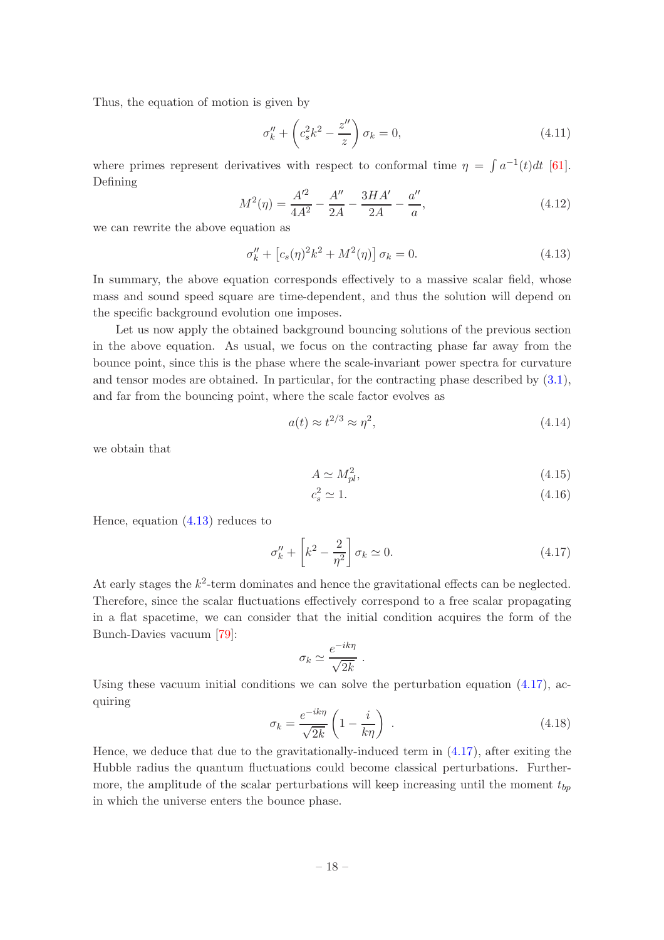Thus, the equation of motion is given by

<span id="page-18-2"></span>
$$
\sigma_k'' + \left(c_s^2 k^2 - \frac{z''}{z}\right)\sigma_k = 0,\tag{4.11}
$$

where primes represent derivatives with respect to conformal time  $\eta = \int a^{-1}(t)dt$  [\[61\]](#page-26-1). Defining

$$
M^{2}(\eta) = \frac{A^{\prime 2}}{4A^{2}} - \frac{A^{\prime \prime}}{2A} - \frac{3HA^{\prime}}{2A} - \frac{a^{\prime \prime}}{a},\tag{4.12}
$$

we can rewrite the above equation as

<span id="page-18-0"></span>
$$
\sigma_k'' + [c_s(\eta)^2 k^2 + M^2(\eta)] \sigma_k = 0.
$$
\n(4.13)

In summary, the above equation corresponds effectively to a massive scalar field, whose mass and sound speed square are time-dependent, and thus the solution will depend on the specific background evolution one imposes.

Let us now apply the obtained background bouncing solutions of the previous section in the above equation. As usual, we focus on the contracting phase far away from the bounce point, since this is the phase where the scale-invariant power spectra for curvature and tensor modes are obtained. In particular, for the contracting phase described by [\(3.1\)](#page-5-2), and far from the bouncing point, where the scale factor evolves as

$$
a(t) \approx t^{2/3} \approx \eta^2,\tag{4.14}
$$

we obtain that

<span id="page-18-3"></span>
$$
A \simeq M_{pl}^2,\tag{4.15}
$$

$$
c_s^2 \simeq 1.\tag{4.16}
$$

Hence, equation [\(4.13\)](#page-18-0) reduces to

<span id="page-18-1"></span>
$$
\sigma_k'' + \left[k^2 - \frac{2}{\eta^2}\right] \sigma_k \simeq 0. \tag{4.17}
$$

At early stages the  $k^2$ -term dominates and hence the gravitational effects can be neglected. Therefore, since the scalar fluctuations effectively correspond to a free scalar propagating in a flat spacetime, we can consider that the initial condition acquires the form of the Bunch-Davies vacuum [\[79\]](#page-27-0):

$$
\sigma_k \simeq \frac{e^{-ik\eta}}{\sqrt{2k}} \ .
$$

Using these vacuum initial conditions we can solve the perturbation equation  $(4.17)$ , acquiring

$$
\sigma_k = \frac{e^{-ik\eta}}{\sqrt{2k}} \left( 1 - \frac{i}{k\eta} \right) \tag{4.18}
$$

Hence, we deduce that due to the gravitationally-induced term in  $(4.17)$ , after exiting the Hubble radius the quantum fluctuations could become classical perturbations. Furthermore, the amplitude of the scalar perturbations will keep increasing until the moment  $t_{bp}$ in which the universe enters the bounce phase.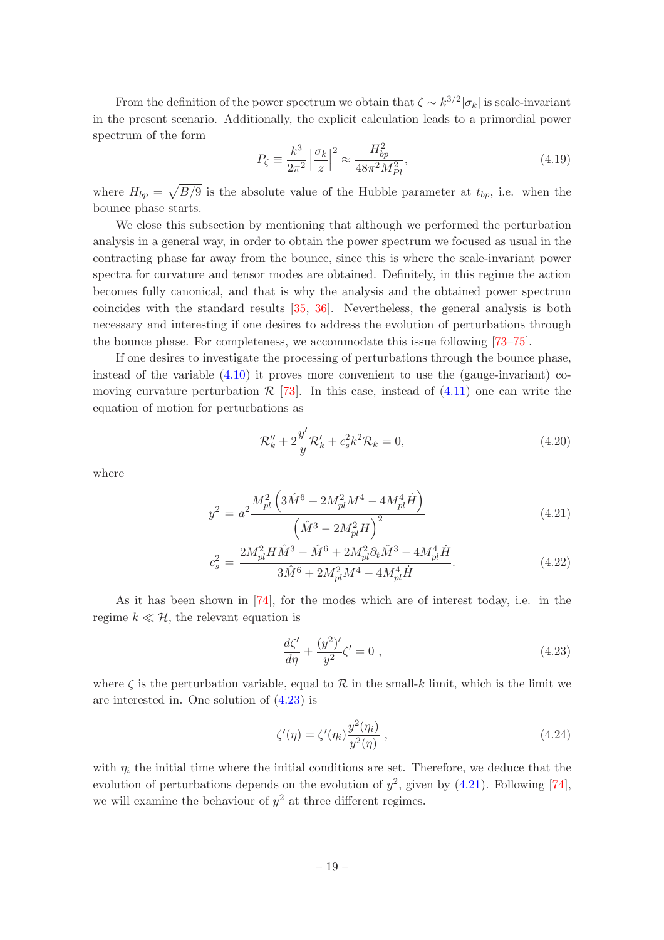From the definition of the power spectrum we obtain that  $\zeta \sim k^{3/2} |\sigma_k|$  is scale-invariant in the present scenario. Additionally, the explicit calculation leads to a primordial power spectrum of the form

$$
P_{\zeta} \equiv \frac{k^3}{2\pi^2} \left| \frac{\sigma_k}{z} \right|^2 \approx \frac{H_{bp}^2}{48\pi^2 M_{Pl}^2},\tag{4.19}
$$

where  $H_{bp} = \sqrt{B/9}$  is the absolute value of the Hubble parameter at  $t_{bp}$ , i.e. when the bounce phase starts.

We close this subsection by mentioning that although we performed the perturbation analysis in a general way, in order to obtain the power spectrum we focused as usual in the contracting phase far away from the bounce, since this is where the scale-invariant power spectra for curvature and tensor modes are obtained. Definitely, in this regime the action becomes fully canonical, and that is why the analysis and the obtained power spectrum coincides with the standard results [\[35](#page-24-12), [36](#page-24-13)]. Nevertheless, the general analysis is both necessary and interesting if one desires to address the evolution of perturbations through the bounce phase. For completeness, we accommodate this issue following [\[73](#page-26-13)[–75\]](#page-26-14).

If one desires to investigate the processing of perturbations through the bounce phase, instead of the variable  $(4.10)$  it proves more convenient to use the (gauge-invariant) comoving curvature perturbation  $\mathcal{R}$  [\[73](#page-26-13)]. In this case, instead of [\(4.11\)](#page-18-2) one can write the equation of motion for perturbations as

$$
\mathcal{R}_k'' + 2\frac{y'}{y}\mathcal{R}_k' + c_s^2 k^2 \mathcal{R}_k = 0,
$$
\n(4.20)

where

<span id="page-19-0"></span>
$$
y^{2} = a^{2} \frac{M_{pl}^{2} \left(3\hat{M}^{6} + 2M_{pl}^{2}M^{4} - 4M_{pl}^{4}\dot{H}\right)}{\left(\hat{M}^{3} - 2M_{pl}^{2}H\right)^{2}}
$$
(4.21)

$$
c_s^2 = \frac{2M_{pl}^2 H \hat{M}^3 - \hat{M}^6 + 2M_{pl}^2 \partial_t \hat{M}^3 - 4M_{pl}^4 \dot{H}}{3\hat{M}^6 + 2M_{pl}^2 M^4 - 4M_{pl}^4 \dot{H}}.
$$
\n(4.22)

As it has been shown in [\[74\]](#page-26-18), for the modes which are of interest today, i.e. in the regime  $k \ll H$ , the relevant equation is

<span id="page-19-1"></span>
$$
\frac{d\zeta'}{d\eta} + \frac{(y^2)'}{y^2}\zeta' = 0 ,
$$
\n(4.23)

where  $\zeta$  is the perturbation variable, equal to  $\mathcal R$  in the small-k limit, which is the limit we are interested in. One solution of [\(4.23\)](#page-19-1) is

<span id="page-19-2"></span>
$$
\zeta'(\eta) = \zeta'(\eta_i) \frac{y^2(\eta_i)}{y^2(\eta)} , \qquad (4.24)
$$

with  $\eta_i$  the initial time where the initial conditions are set. Therefore, we deduce that the evolution of perturbations depends on the evolution of  $y^2$ , given by  $(4.21)$ . Following [\[74\]](#page-26-18), we will examine the behaviour of  $y^2$  at three different regimes.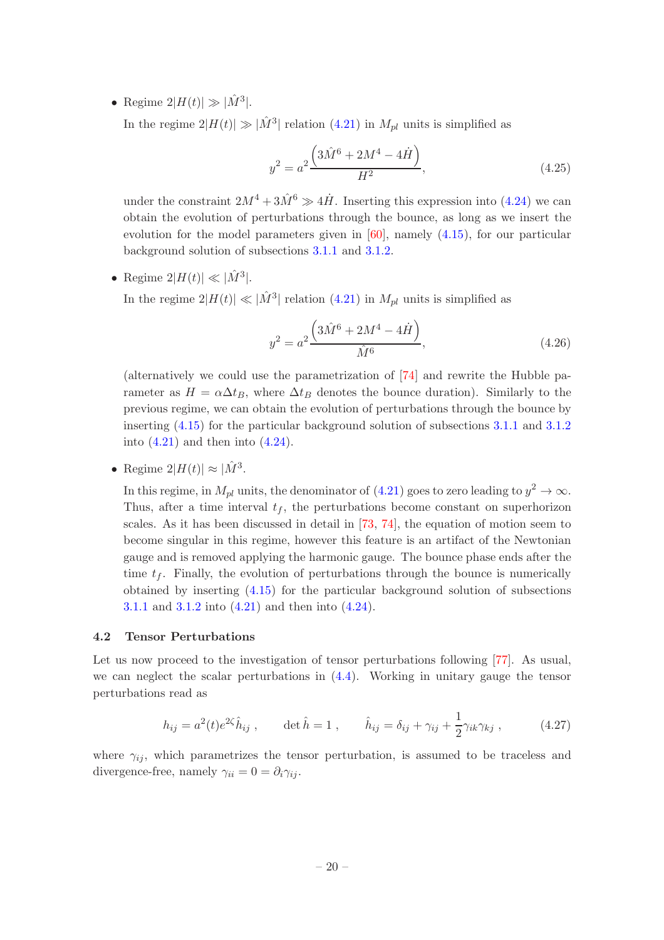• Regime  $2|H(t)| \gg |\hat{M}^3|$ .

In the regime  $2|H(t)| \gg |\hat{M}^3|$  relation [\(4.21\)](#page-19-0) in  $M_{pl}$  units is simplified as

$$
y^{2} = a^{2} \frac{\left(3\hat{M}^{6} + 2M^{4} - 4\dot{H}\right)}{H^{2}},
$$
\n(4.25)

under the constraint  $2M^4 + 3\hat{M}^6 \gg 4\hat{H}$ . Inserting this expression into [\(4.24\)](#page-19-2) we can obtain the evolution of perturbations through the bounce, as long as we insert the evolution for the model parameters given in  $[60]$ , namely  $(4.15)$ , for our particular background solution of subsections [3.1.1](#page-5-1) and [3.1.2.](#page-8-0)

• Regime  $2|H(t)| \ll |\hat{M}^3|$ .

In the regime  $2|H(t)| \ll |\hat{M}^3|$  relation [\(4.21\)](#page-19-0) in  $M_{pl}$  units is simplified as

$$
y^{2} = a^{2} \frac{\left(3\hat{M}^{6} + 2M^{4} - 4\dot{H}\right)}{\hat{M}^{6}},
$$
\n(4.26)

(alternatively we could use the parametrization of [\[74\]](#page-26-18) and rewrite the Hubble parameter as  $H = \alpha \Delta t_B$ , where  $\Delta t_B$  denotes the bounce duration). Similarly to the previous regime, we can obtain the evolution of perturbations through the bounce by inserting [\(4.15\)](#page-18-3) for the particular background solution of subsections [3.1.1](#page-5-1) and [3.1.2](#page-8-0) into  $(4.21)$  and then into  $(4.24)$ .

• Regime  $2|H(t)| \approx |\hat{M}^3|$ .

In this regime, in  $M_{pl}$  units, the denominator of  $(4.21)$  goes to zero leading to  $y^2 \to \infty$ . Thus, after a time interval  $t_f$ , the perturbations become constant on superhorizon scales. As it has been discussed in detail in [\[73](#page-26-13), [74\]](#page-26-18), the equation of motion seem to become singular in this regime, however this feature is an artifact of the Newtonian gauge and is removed applying the harmonic gauge. The bounce phase ends after the time  $t_f$ . Finally, the evolution of perturbations through the bounce is numerically obtained by inserting [\(4.15\)](#page-18-3) for the particular background solution of subsections [3.1.1](#page-5-1) and [3.1.2](#page-8-0) into [\(4.21\)](#page-19-0) and then into [\(4.24\)](#page-19-2).

## <span id="page-20-0"></span>4.2 Tensor Perturbations

Let us now proceed to the investigation of tensor perturbations following [\[77](#page-26-16)]. As usual, we can neglect the scalar perturbations in [\(4.4\)](#page-16-1). Working in unitary gauge the tensor perturbations read as

$$
h_{ij} = a^2(t)e^{2\zeta} \hat{h}_{ij} , \qquad \det \hat{h} = 1 , \qquad \hat{h}_{ij} = \delta_{ij} + \gamma_{ij} + \frac{1}{2}\gamma_{ik}\gamma_{kj} , \qquad (4.27)
$$

where  $\gamma_{ij}$ , which parametrizes the tensor perturbation, is assumed to be traceless and divergence-free, namely  $\gamma_{ii} = 0 = \partial_i \gamma_{ij}$ .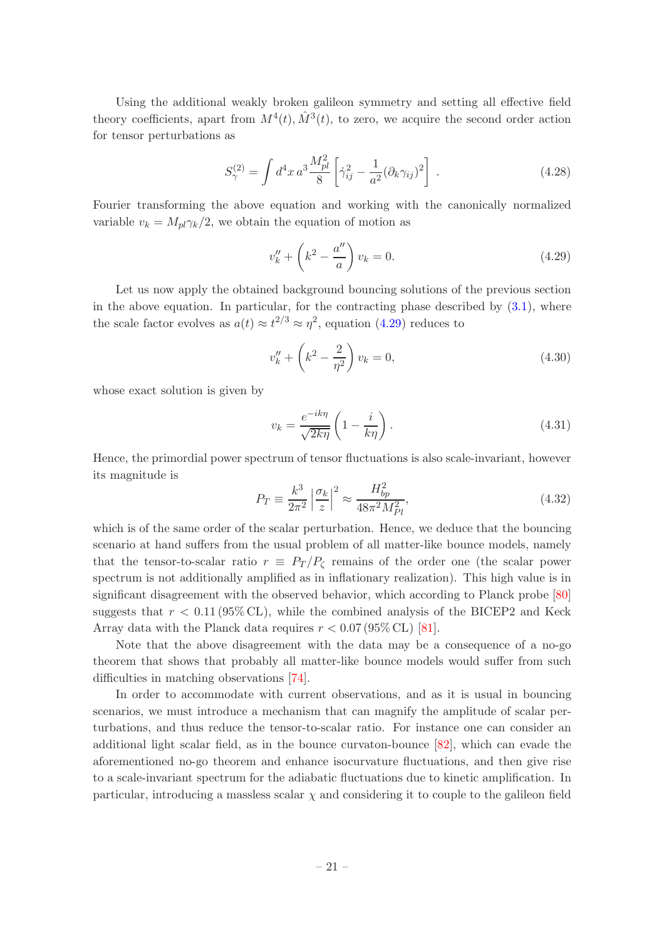Using the additional weakly broken galileon symmetry and setting all effective field theory coefficients, apart from  $M^4(t)$ ,  $\hat{M}^3(t)$ , to zero, we acquire the second order action for tensor perturbations as

$$
S_{\gamma}^{(2)} = \int d^4x \, a^3 \frac{M_{pl}^2}{8} \left[ \dot{\gamma}_{ij}^2 - \frac{1}{a^2} (\partial_k \gamma_{ij})^2 \right] \,. \tag{4.28}
$$

Fourier transforming the above equation and working with the canonically normalized variable  $v_k = M_{pl} \gamma_k/2$ , we obtain the equation of motion as

<span id="page-21-0"></span>
$$
v_k'' + \left(k^2 - \frac{a''}{a}\right)v_k = 0.
$$
\n(4.29)

Let us now apply the obtained background bouncing solutions of the previous section in the above equation. In particular, for the contracting phase described by  $(3.1)$ , where the scale factor evolves as  $a(t) \approx t^{2/3} \approx \eta^2$ , equation [\(4.29\)](#page-21-0) reduces to

$$
v_k'' + \left(k^2 - \frac{2}{\eta^2}\right)v_k = 0,
$$
\n(4.30)

whose exact solution is given by

$$
v_k = \frac{e^{-ik\eta}}{\sqrt{2k\eta}} \left( 1 - \frac{i}{k\eta} \right). \tag{4.31}
$$

Hence, the primordial power spectrum of tensor fluctuations is also scale-invariant, however its magnitude is

$$
P_T \equiv \frac{k^3}{2\pi^2} \left| \frac{\sigma_k}{z} \right|^2 \approx \frac{H_{bp}^2}{48\pi^2 M_{Pl}^2},\tag{4.32}
$$

which is of the same order of the scalar perturbation. Hence, we deduce that the bouncing scenario at hand suffers from the usual problem of all matter-like bounce models, namely that the tensor-to-scalar ratio  $r \equiv P_T/P_c$  remains of the order one (the scalar power spectrum is not additionally amplified as in inflationary realization). This high value is in significant disagreement with the observed behavior, which according to Planck probe [\[80\]](#page-27-1) suggests that  $r < 0.11 (95\% \text{ CL})$ , while the combined analysis of the BICEP2 and Keck Array data with the Planck data requires  $r < 0.07 (95\% \text{ CL})$  [\[81](#page-27-2)].

Note that the above disagreement with the data may be a consequence of a no-go theorem that shows that probably all matter-like bounce models would suffer from such difficulties in matching observations [\[74](#page-26-18)].

In order to accommodate with current observations, and as it is usual in bouncing scenarios, we must introduce a mechanism that can magnify the amplitude of scalar perturbations, and thus reduce the tensor-to-scalar ratio. For instance one can consider an additional light scalar field, as in the bounce curvaton-bounce [\[82\]](#page-27-3), which can evade the aforementioned no-go theorem and enhance isocurvature fluctuations, and then give rise to a scale-invariant spectrum for the adiabatic fluctuations due to kinetic amplification. In particular, introducing a massless scalar  $\chi$  and considering it to couple to the galileon field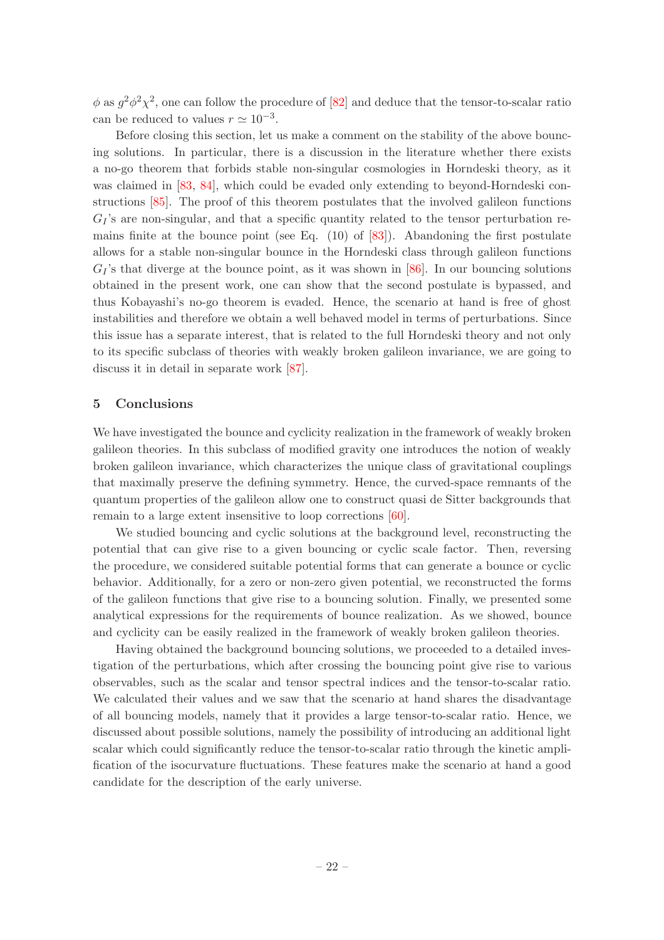$\phi$  as  $g^2\phi^2\chi^2$ , one can follow the procedure of [\[82](#page-27-3)] and deduce that the tensor-to-scalar ratio can be reduced to values  $r \simeq 10^{-3}$ .

Before closing this section, let us make a comment on the stability of the above bouncing solutions. In particular, there is a discussion in the literature whether there exists a no-go theorem that forbids stable non-singular cosmologies in Horndeski theory, as it was claimed in [\[83](#page-27-4), [84](#page-27-5)], which could be evaded only extending to beyond-Horndeski constructions [\[85](#page-27-6)]. The proof of this theorem postulates that the involved galileon functions  $G_I$ 's are non-singular, and that a specific quantity related to the tensor perturbation remains finite at the bounce point (see Eq.  $(10)$  of  $[83]$ ). Abandoning the first postulate allows for a stable non-singular bounce in the Horndeski class through galileon functions  $G_I$ 's that diverge at the bounce point, as it was shown in [\[86\]](#page-27-7). In our bouncing solutions obtained in the present work, one can show that the second postulate is bypassed, and thus Kobayashi's no-go theorem is evaded. Hence, the scenario at hand is free of ghost instabilities and therefore we obtain a well behaved model in terms of perturbations. Since this issue has a separate interest, that is related to the full Horndeski theory and not only to its specific subclass of theories with weakly broken galileon invariance, we are going to discuss it in detail in separate work [\[87](#page-27-8)].

## <span id="page-22-0"></span>5 Conclusions

We have investigated the bounce and cyclicity realization in the framework of weakly broken galileon theories. In this subclass of modified gravity one introduces the notion of weakly broken galileon invariance, which characterizes the unique class of gravitational couplings that maximally preserve the defining symmetry. Hence, the curved-space remnants of the quantum properties of the galileon allow one to construct quasi de Sitter backgrounds that remain to a large extent insensitive to loop corrections [\[60](#page-26-0)].

We studied bouncing and cyclic solutions at the background level, reconstructing the potential that can give rise to a given bouncing or cyclic scale factor. Then, reversing the procedure, we considered suitable potential forms that can generate a bounce or cyclic behavior. Additionally, for a zero or non-zero given potential, we reconstructed the forms of the galileon functions that give rise to a bouncing solution. Finally, we presented some analytical expressions for the requirements of bounce realization. As we showed, bounce and cyclicity can be easily realized in the framework of weakly broken galileon theories.

Having obtained the background bouncing solutions, we proceeded to a detailed investigation of the perturbations, which after crossing the bouncing point give rise to various observables, such as the scalar and tensor spectral indices and the tensor-to-scalar ratio. We calculated their values and we saw that the scenario at hand shares the disadvantage of all bouncing models, namely that it provides a large tensor-to-scalar ratio. Hence, we discussed about possible solutions, namely the possibility of introducing an additional light scalar which could significantly reduce the tensor-to-scalar ratio through the kinetic amplification of the isocurvature fluctuations. These features make the scenario at hand a good candidate for the description of the early universe.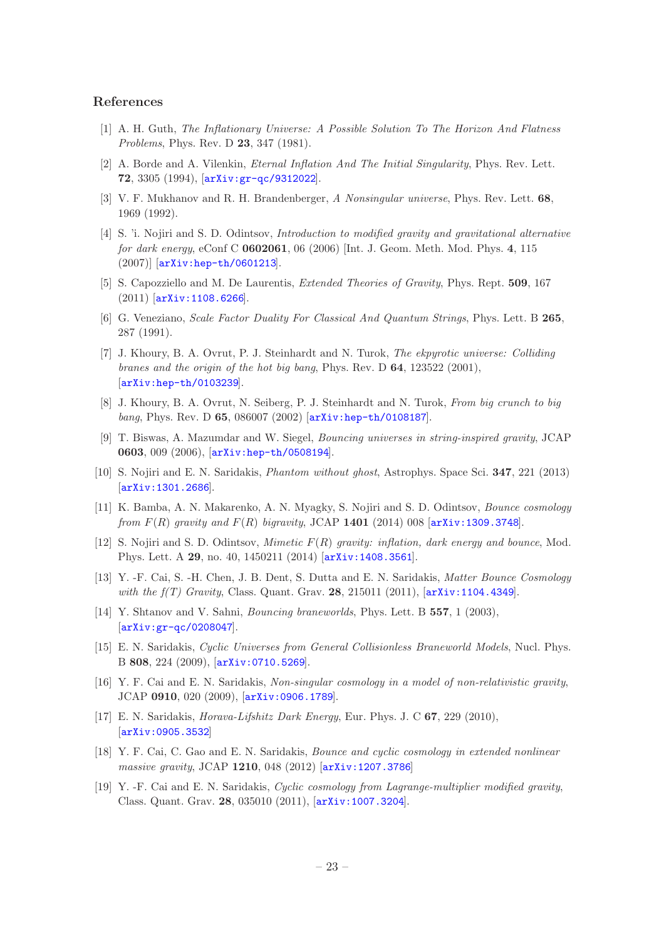## References

- <span id="page-23-0"></span>[1] A. H. Guth, The Inflationary Universe: A Possible Solution To The Horizon And Flatness Problems, Phys. Rev. D 23, 347 (1981).
- <span id="page-23-1"></span>[2] A. Borde and A. Vilenkin, *Eternal Inflation And The Initial Singularity*, Phys. Rev. Lett. 72, 3305 (1994), [[arXiv:gr-qc/9312022](http://xxx.lanl.gov/abs/gr-qc/9312022)].
- <span id="page-23-2"></span>[3] V. F. Mukhanov and R. H. Brandenberger, A Nonsingular universe, Phys. Rev. Lett. 68, 1969 (1992).
- <span id="page-23-3"></span>[4] S. 'i. Nojiri and S. D. Odintsov, Introduction to modified gravity and gravitational alternative for dark energy, eConf C 0602061, 06 (2006) [Int. J. Geom. Meth. Mod. Phys. 4, 115 (2007)] [[arXiv:hep-th/0601213](http://xxx.lanl.gov/abs/hep-th/0601213)].
- <span id="page-23-4"></span>[5] S. Capozziello and M. De Laurentis, Extended Theories of Gravity, Phys. Rept. 509, 167 (2011) [[arXiv:1108.6266](http://xxx.lanl.gov/abs/1108.6266)].
- <span id="page-23-5"></span>[6] G. Veneziano, Scale Factor Duality For Classical And Quantum Strings, Phys. Lett. B 265, 287 (1991).
- <span id="page-23-6"></span>[7] J. Khoury, B. A. Ovrut, P. J. Steinhardt and N. Turok, The ekpyrotic universe: Colliding branes and the origin of the hot big bang, Phys. Rev. D 64, 123522 (2001), [[arXiv:hep-th/0103239](http://xxx.lanl.gov/abs/hep-th/0103239)].
- <span id="page-23-7"></span>[8] J. Khoury, B. A. Ovrut, N. Seiberg, P. J. Steinhardt and N. Turok, From big crunch to big bang, Phys. Rev. D 65, 086007 (2002) [[arXiv:hep-th/0108187](http://xxx.lanl.gov/abs/hep-th/0108187)].
- <span id="page-23-8"></span>[9] T. Biswas, A. Mazumdar and W. Siegel, Bouncing universes in string-inspired gravity, JCAP 0603, 009 (2006), [[arXiv:hep-th/0508194](http://xxx.lanl.gov/abs/hep-th/0508194)].
- <span id="page-23-9"></span>[10] S. Nojiri and E. N. Saridakis, Phantom without ghost, Astrophys. Space Sci. 347, 221 (2013) [[arXiv:1301.2686](http://xxx.lanl.gov/abs/1301.2686)].
- <span id="page-23-10"></span>[11] K. Bamba, A. N. Makarenko, A. N. Myagky, S. Nojiri and S. D. Odintsov, Bounce cosmology from  $F(R)$  gravity and  $F(R)$  bigravity, JCAP 1401 (2014) 008  $\left[$ [arXiv:1309.3748](http://xxx.lanl.gov/abs/1309.3748).
- <span id="page-23-11"></span>[12] S. Nojiri and S. D. Odintsov, Mimetic F(R) gravity: inflation, dark energy and bounce, Mod. Phys. Lett. A 29, no. 40, 1450211 (2014) [[arXiv:1408.3561](http://xxx.lanl.gov/abs/1408.3561)].
- <span id="page-23-12"></span>[13] Y. -F. Cai, S. -H. Chen, J. B. Dent, S. Dutta and E. N. Saridakis, Matter Bounce Cosmology with the  $f(T)$  Gravity, Class. Quant. Grav. 28, 215011 (2011),  $[$ [arXiv:1104.4349](http://xxx.lanl.gov/abs/1104.4349)].
- <span id="page-23-13"></span>[14] Y. Shtanov and V. Sahni, Bouncing braneworlds, Phys. Lett. B 557, 1 (2003), [[arXiv:gr-qc/0208047](http://xxx.lanl.gov/abs/gr-qc/0208047)].
- <span id="page-23-14"></span>[15] E. N. Saridakis, Cyclic Universes from General Collisionless Braneworld Models, Nucl. Phys. B 808, 224 (2009), [[arXiv:0710.5269](http://xxx.lanl.gov/abs/0710.5269)].
- <span id="page-23-15"></span>[16] Y. F. Cai and E. N. Saridakis, Non-singular cosmology in a model of non-relativistic gravity, JCAP 0910, 020 (2009), [[arXiv:0906.1789](http://xxx.lanl.gov/abs/0906.1789)].
- <span id="page-23-16"></span>[17] E. N. Saridakis, Horava-Lifshitz Dark Energy, Eur. Phys. J. C 67, 229 (2010), [[arXiv:0905.3532](http://xxx.lanl.gov/abs/0905.3532)]
- <span id="page-23-17"></span>[18] Y. F. Cai, C. Gao and E. N. Saridakis, Bounce and cyclic cosmology in extended nonlinear massive gravity, JCAP 1210, 048 (2012) [[arXiv:1207.3786](http://xxx.lanl.gov/abs/1207.3786)]
- <span id="page-23-18"></span>[19] Y. -F. Cai and E. N. Saridakis, Cyclic cosmology from Lagrange-multiplier modified gravity, Class. Quant. Grav. 28, 035010 (2011), [[arXiv:1007.3204](http://xxx.lanl.gov/abs/1007.3204)].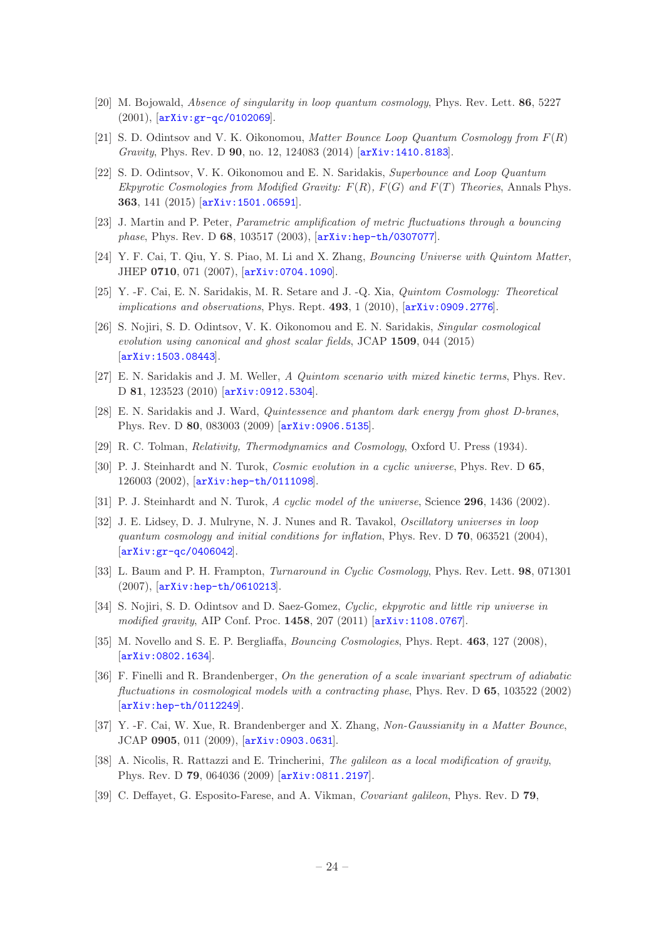- <span id="page-24-0"></span>[20] M. Bojowald, Absence of singularity in loop quantum cosmology, Phys. Rev. Lett. 86, 5227 (2001), [[arXiv:gr-qc/0102069](http://xxx.lanl.gov/abs/gr-qc/0102069)].
- [21] S. D. Odintsov and V. K. Oikonomou, Matter Bounce Loop Quantum Cosmology from  $F(R)$ Gravity, Phys. Rev. D 90, no. 12, 124083 (2014) [[arXiv:1410.8183](http://xxx.lanl.gov/abs/1410.8183)].
- <span id="page-24-1"></span>[22] S. D. Odintsov, V. K. Oikonomou and E. N. Saridakis, Superbounce and Loop Quantum Ekpyrotic Cosmologies from Modified Gravity:  $F(R)$ ,  $F(G)$  and  $F(T)$  Theories, Annals Phys. 363, 141 (2015) [[arXiv:1501.06591](http://xxx.lanl.gov/abs/1501.06591)].
- <span id="page-24-2"></span>[23] J. Martin and P. Peter, Parametric amplification of metric fluctuations through a bouncing phase, Phys. Rev. D 68, 103517 (2003), [[arXiv:hep-th/0307077](http://xxx.lanl.gov/abs/hep-th/0307077)].
- <span id="page-24-3"></span>[24] Y. F. Cai, T. Qiu, Y. S. Piao, M. Li and X. Zhang, Bouncing Universe with Quintom Matter, JHEP 0710, 071 (2007), [[arXiv:0704.1090](http://xxx.lanl.gov/abs/0704.1090)].
- [25] Y. -F. Cai, E. N. Saridakis, M. R. Setare and J. -Q. Xia, Quintom Cosmology: Theoretical implications and observations, Phys. Rept.  $493, 1$  (2010),  $[arXiv:0909.2776]$  $[arXiv:0909.2776]$  $[arXiv:0909.2776]$ .
- <span id="page-24-4"></span>[26] S. Nojiri, S. D. Odintsov, V. K. Oikonomou and E. N. Saridakis, Singular cosmological evolution using canonical and ghost scalar fields, JCAP 1509, 044 (2015) [[arXiv:1503.08443](http://xxx.lanl.gov/abs/1503.08443)].
- <span id="page-24-5"></span>[27] E. N. Saridakis and J. M. Weller, A Quintom scenario with mixed kinetic terms, Phys. Rev. D 81, 123523 (2010) [[arXiv:0912.5304](http://xxx.lanl.gov/abs/0912.5304)].
- <span id="page-24-6"></span>[28] E. N. Saridakis and J. Ward, Quintessence and phantom dark energy from ghost D-branes, Phys. Rev. D 80, 083003 (2009) [[arXiv:0906.5135](http://xxx.lanl.gov/abs/0906.5135)].
- <span id="page-24-7"></span>[29] R. C. Tolman, Relativity, Thermodynamics and Cosmology, Oxford U. Press (1934).
- <span id="page-24-8"></span>[30] P. J. Steinhardt and N. Turok, *Cosmic evolution in a cyclic universe*, Phys. Rev. D 65, 126003 (2002), [[arXiv:hep-th/0111098](http://xxx.lanl.gov/abs/hep-th/0111098)].
- <span id="page-24-9"></span>[31] P. J. Steinhardt and N. Turok, A cyclic model of the universe, Science 296, 1436 (2002).
- <span id="page-24-10"></span>[32] J. E. Lidsey, D. J. Mulryne, N. J. Nunes and R. Tavakol, Oscillatory universes in loop quantum cosmology and initial conditions for inflation, Phys. Rev. D  $70$ , 063521 (2004), [[arXiv:gr-qc/0406042](http://xxx.lanl.gov/abs/gr-qc/0406042)].
- [33] L. Baum and P. H. Frampton, *Turnaround in Cyclic Cosmology*, Phys. Rev. Lett. **98**, 071301 (2007), [[arXiv:hep-th/0610213](http://xxx.lanl.gov/abs/hep-th/0610213)].
- <span id="page-24-11"></span>[34] S. Nojiri, S. D. Odintsov and D. Saez-Gomez, Cyclic, ekpyrotic and little rip universe in modified gravity, AIP Conf. Proc. 1458, 207 (2011) [[arXiv:1108.0767](http://xxx.lanl.gov/abs/1108.0767)].
- <span id="page-24-12"></span>[35] M. Novello and S. E. P. Bergliaffa, Bouncing Cosmologies, Phys. Rept. 463, 127 (2008), [[arXiv:0802.1634](http://xxx.lanl.gov/abs/0802.1634)].
- <span id="page-24-13"></span>[36] F. Finelli and R. Brandenberger, On the generation of a scale invariant spectrum of adiabatic fluctuations in cosmological models with a contracting phase, Phys. Rev. D 65, 103522 (2002) [[arXiv:hep-th/0112249](http://xxx.lanl.gov/abs/hep-th/0112249)].
- <span id="page-24-14"></span>[37] Y. -F. Cai, W. Xue, R. Brandenberger and X. Zhang, Non-Gaussianity in a Matter Bounce, JCAP 0905, 011 (2009), [[arXiv:0903.0631](http://xxx.lanl.gov/abs/0903.0631)].
- <span id="page-24-15"></span>[38] A. Nicolis, R. Rattazzi and E. Trincherini, The galileon as a local modification of gravity, Phys. Rev. D 79, 064036 (2009) [[arXiv:0811.2197](http://xxx.lanl.gov/abs/0811.2197)].
- [39] C. Deffayet, G. Esposito-Farese, and A. Vikman, Covariant galileon, Phys. Rev. D 79,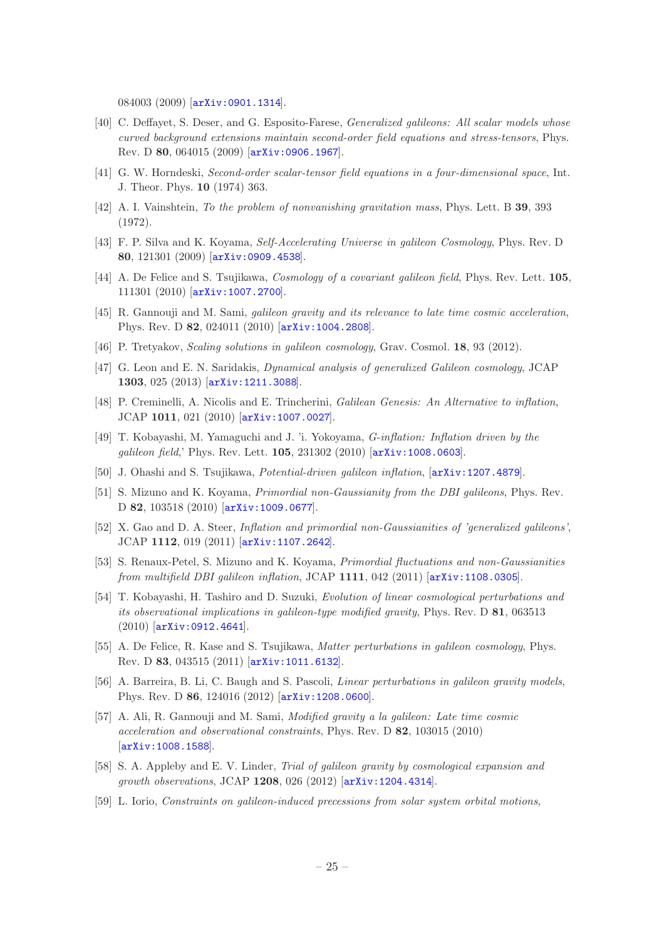084003 (2009) [[arXiv:0901.1314](http://xxx.lanl.gov/abs/0901.1314)].

- <span id="page-25-0"></span>[40] C. Deffayet, S. Deser, and G. Esposito-Farese, *Generalized galileons: All scalar models whose* curved background extensions maintain second-order field equations and stress-tensors, Phys. Rev. D 80, 064015 (2009) [[arXiv:0906.1967](http://xxx.lanl.gov/abs/0906.1967)].
- <span id="page-25-1"></span>[41] G. W. Horndeski, Second-order scalar-tensor field equations in a four-dimensional space, Int. J. Theor. Phys. 10 (1974) 363.
- <span id="page-25-2"></span>[42] A. I. Vainshtein, To the problem of nonvanishing gravitation mass, Phys. Lett. B 39, 393 (1972).
- <span id="page-25-3"></span>[43] F. P. Silva and K. Koyama, Self-Accelerating Universe in galileon Cosmology, Phys. Rev. D 80, 121301 (2009) [[arXiv:0909.4538](http://xxx.lanl.gov/abs/0909.4538)].
- [44] A. De Felice and S. Tsujikawa, *Cosmology of a covariant galileon field*, Phys. Rev. Lett. **105**, 111301 (2010) [[arXiv:1007.2700](http://xxx.lanl.gov/abs/1007.2700)].
- [45] R. Gannouji and M. Sami, galileon gravity and its relevance to late time cosmic acceleration, Phys. Rev. D 82, 024011 (2010) [[arXiv:1004.2808](http://xxx.lanl.gov/abs/1004.2808)].
- [46] P. Tretyakov, Scaling solutions in galileon cosmology, Grav. Cosmol. 18, 93 (2012).
- <span id="page-25-4"></span>[47] G. Leon and E. N. Saridakis, Dynamical analysis of generalized Galileon cosmology, JCAP 1303, 025 (2013) [[arXiv:1211.3088](http://xxx.lanl.gov/abs/1211.3088)].
- <span id="page-25-5"></span>[48] P. Creminelli, A. Nicolis and E. Trincherini, Galilean Genesis: An Alternative to inflation, JCAP 1011, 021 (2010) [[arXiv:1007.0027](http://xxx.lanl.gov/abs/1007.0027)].
- [49] T. Kobayashi, M. Yamaguchi and J. 'i. Yokoyama, G-inflation: Inflation driven by the galileon field,' Phys. Rev. Lett. 105, 231302 (2010) [[arXiv:1008.0603](http://xxx.lanl.gov/abs/1008.0603)].
- <span id="page-25-6"></span>[50] J. Ohashi and S. Tsujikawa, Potential-driven galileon inflation, [[arXiv:1207.4879](http://xxx.lanl.gov/abs/1207.4879)].
- <span id="page-25-7"></span>[51] S. Mizuno and K. Koyama, *Primordial non-Gaussianity from the DBI galileons*, Phys. Rev. D 82, 103518 (2010) [[arXiv:1009.0677](http://xxx.lanl.gov/abs/1009.0677)].
- [52] X. Gao and D. A. Steer, Inflation and primordial non-Gaussianities of 'generalized galileons', JCAP 1112, 019 (2011) [[arXiv:1107.2642](http://xxx.lanl.gov/abs/1107.2642)].
- <span id="page-25-8"></span>[53] S. Renaux-Petel, S. Mizuno and K. Koyama, Primordial fluctuations and non-Gaussianities from multifield DBI galileon inflation, JCAP  $1111$ , 042 (2011)  $[arXiv:1108.0305]$  $[arXiv:1108.0305]$  $[arXiv:1108.0305]$ .
- <span id="page-25-9"></span>[54] T. Kobayashi, H. Tashiro and D. Suzuki, Evolution of linear cosmological perturbations and its observational implications in galileon-type modified gravity, Phys. Rev. D 81, 063513 (2010) [[arXiv:0912.4641](http://xxx.lanl.gov/abs/0912.4641)].
- [55] A. De Felice, R. Kase and S. Tsujikawa, *Matter perturbations in galileon cosmology*, Phys. Rev. D 83, 043515 (2011) [[arXiv:1011.6132](http://xxx.lanl.gov/abs/1011.6132)].
- <span id="page-25-10"></span>[56] A. Barreira, B. Li, C. Baugh and S. Pascoli, Linear perturbations in galileon gravity models, Phys. Rev. D 86, 124016 (2012) [[arXiv:1208.0600](http://xxx.lanl.gov/abs/1208.0600)].
- <span id="page-25-11"></span>[57] A. Ali, R. Gannouji and M. Sami, Modified gravity a la galileon: Late time cosmic acceleration and observational constraints, Phys. Rev. D 82, 103015 (2010) [[arXiv:1008.1588](http://xxx.lanl.gov/abs/1008.1588)].
- [58] S. A. Appleby and E. V. Linder, Trial of galileon gravity by cosmological expansion and growth observations, JCAP 1208, 026 (2012) [[arXiv:1204.4314](http://xxx.lanl.gov/abs/1204.4314)].
- <span id="page-25-12"></span>[59] L. Iorio, Constraints on galileon-induced precessions from solar system orbital motions,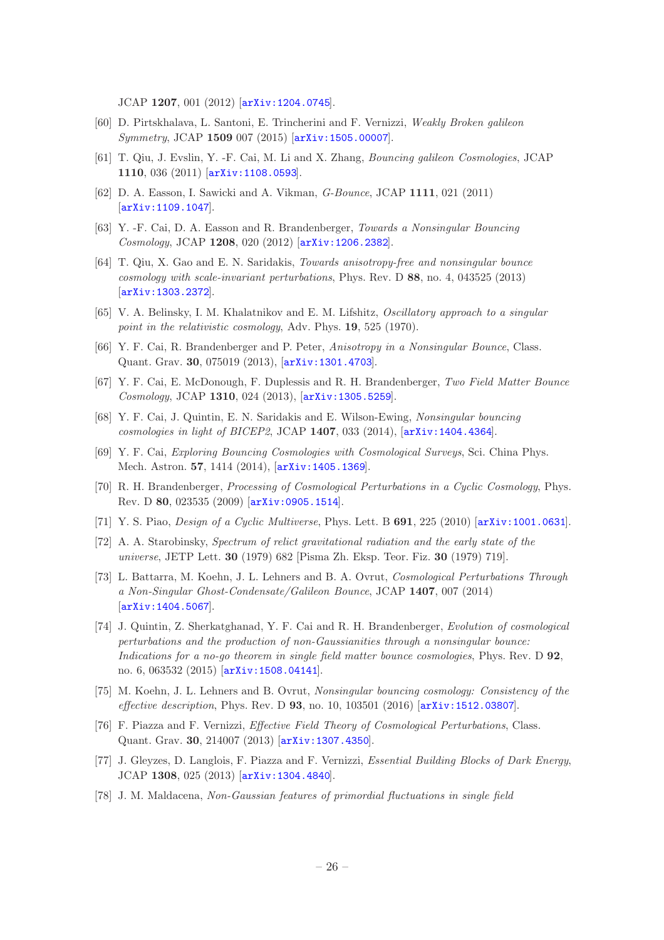JCAP 1207, 001 (2012) [[arXiv:1204.0745](http://xxx.lanl.gov/abs/1204.0745)].

- <span id="page-26-0"></span>[60] D. Pirtskhalava, L. Santoni, E. Trincherini and F. Vernizzi, Weakly Broken galileon Symmetry, JCAP 1509 007 (2015) [[arXiv:1505.00007](http://xxx.lanl.gov/abs/1505.00007)].
- <span id="page-26-1"></span>[61] T. Qiu, J. Evslin, Y. -F. Cai, M. Li and X. Zhang, Bouncing galileon Cosmologies, JCAP 1110, 036 (2011) [[arXiv:1108.0593](http://xxx.lanl.gov/abs/1108.0593)].
- <span id="page-26-3"></span>[62] D. A. Easson, I. Sawicki and A. Vikman, G-Bounce, JCAP 1111, 021 (2011) [[arXiv:1109.1047](http://xxx.lanl.gov/abs/1109.1047)].
- <span id="page-26-5"></span>[63] Y. -F. Cai, D. A. Easson and R. Brandenberger, Towards a Nonsingular Bouncing Cosmology, JCAP 1208, 020 (2012) [[arXiv:1206.2382](http://xxx.lanl.gov/abs/1206.2382)].
- <span id="page-26-2"></span>[64] T. Qiu, X. Gao and E. N. Saridakis, Towards anisotropy-free and nonsingular bounce cosmology with scale-invariant perturbations, Phys. Rev. D 88, no. 4, 043525 (2013) [[arXiv:1303.2372](http://xxx.lanl.gov/abs/1303.2372)].
- <span id="page-26-4"></span>[65] V. A. Belinsky, I. M. Khalatnikov and E. M. Lifshitz, Oscillatory approach to a singular point in the relativistic cosmology, Adv. Phys. 19, 525 (1970).
- <span id="page-26-6"></span>[66] Y. F. Cai, R. Brandenberger and P. Peter, Anisotropy in a Nonsingular Bounce, Class. Quant. Grav. 30, 075019 (2013), [[arXiv:1301.4703](http://xxx.lanl.gov/abs/1301.4703)].
- <span id="page-26-7"></span>[67] Y. F. Cai, E. McDonough, F. Duplessis and R. H. Brandenberger, Two Field Matter Bounce Cosmology, JCAP 1310, 024 (2013), [[arXiv:1305.5259](http://xxx.lanl.gov/abs/1305.5259)].
- <span id="page-26-8"></span>[68] Y. F. Cai, J. Quintin, E. N. Saridakis and E. Wilson-Ewing, Nonsingular bouncing cosmologies in light of BICEP2, JCAP 1407, 033 (2014), [[arXiv:1404.4364](http://xxx.lanl.gov/abs/1404.4364)].
- <span id="page-26-9"></span>[69] Y. F. Cai, Exploring Bouncing Cosmologies with Cosmological Surveys, Sci. China Phys. Mech. Astron. **57**, 1414 (2014),  $\left[ \ar{\text{Xiv}} : 1405.1369 \right]$ .
- <span id="page-26-10"></span>[70] R. H. Brandenberger, Processing of Cosmological Perturbations in a Cyclic Cosmology, Phys. Rev. D 80, 023535 (2009) [[arXiv:0905.1514](http://xxx.lanl.gov/abs/0905.1514)].
- <span id="page-26-11"></span>[71] Y. S. Piao, *Design of a Cyclic Multiverse*, Phys. Lett. B **691**, 225 (2010) [[arXiv:1001.0631](http://xxx.lanl.gov/abs/1001.0631)].
- <span id="page-26-12"></span>[72] A. A. Starobinsky, Spectrum of relict gravitational radiation and the early state of the universe, JETP Lett. 30 (1979) 682 [Pisma Zh. Eksp. Teor. Fiz. 30 (1979) 719].
- <span id="page-26-13"></span>[73] L. Battarra, M. Koehn, J. L. Lehners and B. A. Ovrut, Cosmological Perturbations Through a Non-Singular Ghost-Condensate/Galileon Bounce, JCAP 1407, 007 (2014) [[arXiv:1404.5067](http://xxx.lanl.gov/abs/1404.5067)].
- <span id="page-26-18"></span>[74] J. Quintin, Z. Sherkatghanad, Y. F. Cai and R. H. Brandenberger, Evolution of cosmological perturbations and the production of non-Gaussianities through a nonsingular bounce: Indications for a no-go theorem in single field matter bounce cosmologies, Phys. Rev. D 92, no. 6, 063532 (2015) [[arXiv:1508.04141](http://xxx.lanl.gov/abs/1508.04141)].
- <span id="page-26-14"></span>[75] M. Koehn, J. L. Lehners and B. Ovrut, Nonsingular bouncing cosmology: Consistency of the effective description, Phys. Rev. D  $93$ , no. 10, 103501 (2016) [[arXiv:1512.03807](http://xxx.lanl.gov/abs/1512.03807)].
- <span id="page-26-15"></span>[76] F. Piazza and F. Vernizzi, Effective Field Theory of Cosmological Perturbations, Class. Quant. Grav. 30, 214007 (2013) [[arXiv:1307.4350](http://xxx.lanl.gov/abs/1307.4350)].
- <span id="page-26-16"></span>[77] J. Gleyzes, D. Langlois, F. Piazza and F. Vernizzi, Essential Building Blocks of Dark Energy, JCAP 1308, 025 (2013) [[arXiv:1304.4840](http://xxx.lanl.gov/abs/1304.4840)].
- <span id="page-26-17"></span>[78] J. M. Maldacena, Non-Gaussian features of primordial fluctuations in single field